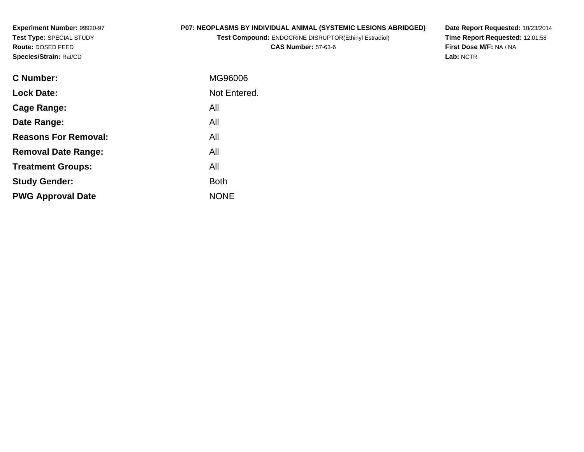**Experiment Number:** 99920-97**Test Type:** SPECIAL STUDY**Route:** DOSED FEED**Species/Strain:** Rat/CD

# **P07: NEOPLASMS BY INDIVIDUAL ANIMAL (SYSTEMIC LESIONS ABRIDGED)**

**Test Compound:** ENDOCRINE DISRUPTOR(Ethinyl Estradiol)

**CAS Number:** 57-63-6

**Date Report Requested:** 10/23/2014 **Time Report Requested:** 12:01:58**First Dose M/F:** NA / NA**Lab:** NCTR

| <b>C</b> Number:            | MG96006      |
|-----------------------------|--------------|
| <b>Lock Date:</b>           | Not Entered. |
| Cage Range:                 | All          |
| Date Range:                 | All          |
| <b>Reasons For Removal:</b> | All          |
| <b>Removal Date Range:</b>  | All          |
| <b>Treatment Groups:</b>    | All          |
| <b>Study Gender:</b>        | <b>Both</b>  |
| <b>PWG Approval Date</b>    | <b>NONE</b>  |
|                             |              |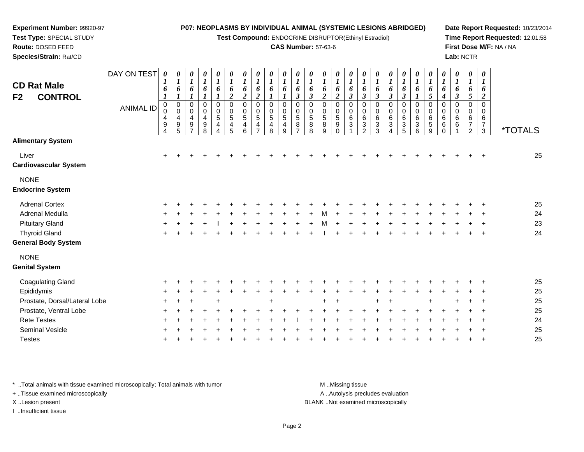**Test Compound:** ENDOCRINE DISRUPTOR(Ethinyl Estradiol)

#### **CAS Number:** 57-63-6

**Date Report Requested:** 10/23/2014**Time Report Requested:** 12:01:58**First Dose M/F:** NA / NA**Lab:** NCTR

|                               | DAY ON TEST      | $\boldsymbol{\theta}$ | $\pmb{\theta}$                     | $\boldsymbol{\theta}$<br>$\boldsymbol{l}$ | $\pmb{\theta}$                     | $\pmb{\theta}$<br>$\boldsymbol{l}$ | $\pmb{\theta}$         | 0<br>$\boldsymbol{l}$      | $\boldsymbol{\theta}$<br>$\boldsymbol{l}$ | 0<br>$\boldsymbol{l}$ | $\boldsymbol{\theta}$ | 0<br>$\boldsymbol{l}$ | 0                     | 0                          | $\pmb{\theta}$                  | 0<br>$\boldsymbol{l}$ | $\boldsymbol{\theta}$        | 0                              | $\boldsymbol{\theta}$ | 0<br>$\boldsymbol{l}$ | 0                             | $\pmb{\theta}$                 | $\boldsymbol{\theta}$ | 0<br>$\boldsymbol{I}$ | $\boldsymbol{\theta}$            | $\boldsymbol{\theta}$              |                       |
|-------------------------------|------------------|-----------------------|------------------------------------|-------------------------------------------|------------------------------------|------------------------------------|------------------------|----------------------------|-------------------------------------------|-----------------------|-----------------------|-----------------------|-----------------------|----------------------------|---------------------------------|-----------------------|------------------------------|--------------------------------|-----------------------|-----------------------|-------------------------------|--------------------------------|-----------------------|-----------------------|----------------------------------|------------------------------------|-----------------------|
| <b>CD Rat Male</b>            |                  | $\boldsymbol{l}$<br>6 | $\boldsymbol{l}$<br>6              | 6                                         | $\boldsymbol{l}$<br>6              | 6                                  | $\boldsymbol{l}$<br>6  | 6                          | 6                                         | 6                     | $\boldsymbol{l}$<br>6 | 6                     | $\boldsymbol{l}$<br>6 | $\boldsymbol{l}$<br>6      | $\boldsymbol{l}$<br>6           | 6                     | $\boldsymbol{l}$<br>6        | $\boldsymbol{l}$<br>6          | $\boldsymbol{l}$<br>6 | 6                     | $\boldsymbol{l}$<br>6         | $\boldsymbol{l}$<br>6          | $\boldsymbol{l}$<br>6 | 6                     | $\boldsymbol{l}$<br>6            | $\boldsymbol{l}$<br>6              |                       |
| F2<br><b>CONTROL</b>          |                  | $\boldsymbol{l}$      | $\boldsymbol{l}$                   | $\boldsymbol{l}$                          | $\boldsymbol{l}$                   | $\boldsymbol{l}$                   | $\boldsymbol{2}$       | $\boldsymbol{2}$           | $\boldsymbol{2}$                          | $\boldsymbol{l}$      | 1                     | $\boldsymbol{\beta}$  | $\boldsymbol{\beta}$  | $\boldsymbol{2}$           | $\boldsymbol{2}$                | $\boldsymbol{\beta}$  | $\boldsymbol{\beta}$         | $\boldsymbol{\beta}$           | $\boldsymbol{\beta}$  | $\boldsymbol{\beta}$  | $\boldsymbol{l}$              | $\sqrt{5}$                     | $\boldsymbol{4}$      | $\boldsymbol{\beta}$  | $5\overline{)}$                  | $\boldsymbol{2}$                   |                       |
|                               | <b>ANIMAL ID</b> | $\mathbf 0$           | $\,0\,$<br>$\pmb{0}$               | 0<br>0                                    | $\pmb{0}$<br>$\pmb{0}$             | $\mathbf 0$<br>0                   | $\pmb{0}$<br>$\pmb{0}$ | $\mathbf 0$<br>$\mathbf 0$ | $\mathbf 0$<br>0                          | 0<br>$\Omega$         | $\mathbf 0$<br>0      | $\mathbf 0$<br>0      | 0<br>0                | $\mathbf 0$<br>0           | 0<br>$\pmb{0}$                  | 0<br>0                | 0<br>0                       | 0<br>0                         | $\pmb{0}$<br>0        | 0<br>$\pmb{0}$        | $\pmb{0}$<br>$\pmb{0}$        | 0<br>0                         | 0<br>0                | 0<br>$\mathbf 0$      | 0<br>0                           | $\mathbf 0$<br>$\Omega$            |                       |
|                               |                  | 4                     | 4                                  | $\overline{\mathbf{4}}$                   | $\overline{\mathbf{4}}$            | $\sqrt{5}$                         | $\sqrt{5}$             | 5                          | 5                                         | $\overline{5}$        | $\overline{5}$        | 5                     | $\,$ 5 $\,$           | $\sqrt{5}$                 | $\sqrt{5}$                      | 6                     | 6                            | 6                              | $\,6$                 | $\,6\,$               | $\,6$                         | $\,6$                          | 6                     | 6                     | 6                                | 6                                  |                       |
|                               |                  | 9<br>4                | $\boldsymbol{9}$<br>$\overline{5}$ | $\boldsymbol{9}$<br>$\overline{7}$        | $\boldsymbol{9}$<br>$\overline{8}$ | 4<br>4                             | 4<br>5                 | 4<br>6                     | 4<br>$\overline{ }$                       | 4<br>8                | 4<br>9                | 8<br>$\overline{7}$   | $\bf8$<br>8           | $\bf8$<br>$\boldsymbol{9}$ | $\boldsymbol{9}$<br>$\mathbf 0$ | 3                     | $\sqrt{3}$<br>$\overline{2}$ | $\ensuremath{\mathsf{3}}$<br>3 | $\sqrt{3}$<br>4       | $\mathbf{3}$<br>5     | $\sqrt{3}$<br>$6\overline{6}$ | $\sqrt{5}$<br>$\boldsymbol{9}$ | 6<br>0                | 6                     | $\overline{7}$<br>$\overline{c}$ | $\boldsymbol{7}$<br>$\mathfrak{Z}$ | <i><b>*TOTALS</b></i> |
| <b>Alimentary System</b>      |                  |                       |                                    |                                           |                                    |                                    |                        |                            |                                           |                       |                       |                       |                       |                            |                                 |                       |                              |                                |                       |                       |                               |                                |                       |                       |                                  |                                    |                       |
| Liver                         |                  | $\ddot{}$             |                                    |                                           |                                    |                                    |                        |                            |                                           |                       |                       |                       |                       |                            |                                 |                       |                              |                                |                       |                       |                               |                                |                       |                       |                                  |                                    | 25                    |
| <b>Cardiovascular System</b>  |                  |                       |                                    |                                           |                                    |                                    |                        |                            |                                           |                       |                       |                       |                       |                            |                                 |                       |                              |                                |                       |                       |                               |                                |                       |                       |                                  |                                    |                       |
| <b>NONE</b>                   |                  |                       |                                    |                                           |                                    |                                    |                        |                            |                                           |                       |                       |                       |                       |                            |                                 |                       |                              |                                |                       |                       |                               |                                |                       |                       |                                  |                                    |                       |
| <b>Endocrine System</b>       |                  |                       |                                    |                                           |                                    |                                    |                        |                            |                                           |                       |                       |                       |                       |                            |                                 |                       |                              |                                |                       |                       |                               |                                |                       |                       |                                  |                                    |                       |
| <b>Adrenal Cortex</b>         |                  |                       |                                    |                                           |                                    |                                    |                        |                            |                                           |                       |                       |                       |                       |                            |                                 |                       |                              |                                |                       |                       |                               |                                |                       |                       |                                  |                                    | 25                    |
| Adrenal Medulla               |                  |                       |                                    |                                           |                                    |                                    |                        |                            |                                           |                       |                       |                       |                       |                            |                                 |                       |                              |                                |                       |                       |                               |                                |                       |                       |                                  |                                    | 24                    |
| <b>Pituitary Gland</b>        |                  |                       |                                    |                                           |                                    |                                    |                        |                            |                                           |                       |                       |                       |                       |                            |                                 |                       |                              |                                |                       |                       |                               |                                |                       |                       |                                  |                                    | 23                    |
| <b>Thyroid Gland</b>          |                  |                       |                                    |                                           |                                    |                                    |                        |                            |                                           |                       |                       |                       |                       |                            |                                 |                       |                              |                                |                       |                       |                               |                                |                       |                       |                                  |                                    | 24                    |
| <b>General Body System</b>    |                  |                       |                                    |                                           |                                    |                                    |                        |                            |                                           |                       |                       |                       |                       |                            |                                 |                       |                              |                                |                       |                       |                               |                                |                       |                       |                                  |                                    |                       |
| <b>NONE</b>                   |                  |                       |                                    |                                           |                                    |                                    |                        |                            |                                           |                       |                       |                       |                       |                            |                                 |                       |                              |                                |                       |                       |                               |                                |                       |                       |                                  |                                    |                       |
| <b>Genital System</b>         |                  |                       |                                    |                                           |                                    |                                    |                        |                            |                                           |                       |                       |                       |                       |                            |                                 |                       |                              |                                |                       |                       |                               |                                |                       |                       |                                  |                                    |                       |
| <b>Coagulating Gland</b>      |                  |                       |                                    |                                           |                                    |                                    |                        |                            |                                           |                       |                       |                       |                       |                            |                                 |                       |                              |                                |                       |                       |                               |                                |                       |                       |                                  |                                    | 25                    |
| Epididymis                    |                  |                       |                                    |                                           |                                    |                                    |                        |                            |                                           |                       |                       |                       |                       |                            |                                 |                       |                              |                                |                       |                       |                               |                                |                       |                       |                                  |                                    | 25                    |
| Prostate, Dorsal/Lateral Lobe |                  |                       |                                    |                                           |                                    |                                    |                        |                            |                                           |                       |                       |                       |                       |                            |                                 |                       |                              |                                |                       |                       |                               |                                |                       |                       |                                  |                                    | 25                    |
| Prostate, Ventral Lobe        |                  |                       |                                    |                                           |                                    |                                    |                        |                            |                                           |                       |                       |                       |                       |                            |                                 |                       |                              |                                |                       |                       |                               |                                |                       |                       |                                  |                                    | 25                    |
| <b>Rete Testes</b>            |                  |                       |                                    |                                           |                                    |                                    |                        |                            |                                           |                       |                       |                       |                       |                            |                                 |                       |                              |                                |                       |                       |                               |                                |                       |                       |                                  |                                    | 24                    |
| <b>Seminal Vesicle</b>        |                  |                       |                                    |                                           |                                    |                                    |                        |                            |                                           |                       |                       |                       |                       |                            |                                 |                       |                              |                                |                       |                       |                               |                                |                       |                       |                                  |                                    | 25                    |
| <b>Testes</b>                 |                  |                       |                                    |                                           |                                    |                                    |                        |                            |                                           |                       |                       |                       |                       |                            |                                 |                       |                              |                                |                       |                       |                               |                                |                       |                       |                                  |                                    | 25                    |
|                               |                  |                       |                                    |                                           |                                    |                                    |                        |                            |                                           |                       |                       |                       |                       |                            |                                 |                       |                              |                                |                       |                       |                               |                                |                       |                       |                                  |                                    |                       |

\* ..Total animals with tissue examined microscopically; Total animals with tumor **M** . Missing tissue M ..Missing tissue

+ ..Tissue examined microscopically

**Experiment Number:** 99920-97**Test Type:** SPECIAL STUDY**Route:** DOSED FEED**Species/Strain:** Rat/CD

I ..Insufficient tissue

A ..Autolysis precludes evaluation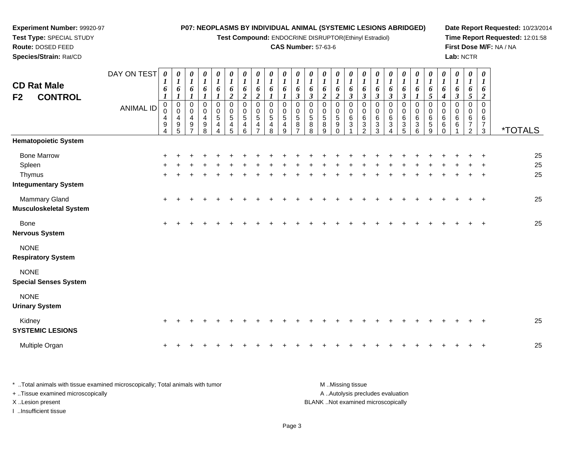#### **Experiment Number:** 99920-97**Test Type:** SPECIAL STUDY**Route:** DOSED FEED **Species/Strain:** Rat/CD**P07: NEOPLASMS BY INDIVIDUAL ANIMAL (SYSTEMIC LESIONS ABRIDGED)Test Compound:** ENDOCRINE DISRUPTOR(Ethinyl Estradiol)**CAS Number:** 57-63-6**Date Report Requested:** 10/23/2014**Time Report Requested:** 12:01:58**First Dose M/F:** NA / NA**Lab:** NCTRDAY ON TEST**CD Rat Male F2 CONTROL***0 1 6 10 1 6 10 1 6 10 1 6 10 1 6 10 1 6 0 1 6 0 1 6 0 1 6 10 1 6 10 1 6 0 1 6 0 1 6 0 1 6 0 1 6 0 1 6 0 1 6 0 1 6 0 1 6 0 1 6 10 1 6 0 1 6 1 6 0 1 6 16*

|                                                | <b>ANIMAL ID</b> | $\pmb{0}$<br>0<br>4<br>9<br>4 | 0<br>$\ddot{\mathbf{0}}$<br>$\overline{\mathbf{4}}$<br>$\boldsymbol{9}$<br>5 | $_{\rm 0}^{\rm 0}$<br>$\overline{4}$<br>$\boldsymbol{9}$<br>$\overline{ }$ | $0$<br>0<br>9<br>9<br>8 | $\begin{matrix} 0 \\ 0 \\ 5 \\ 4 \end{matrix}$<br>$\overline{4}$ | $\begin{matrix} 0 \\ 0 \\ 5 \end{matrix}$<br>$\overline{\mathbf{4}}$<br>5 | $\begin{smallmatrix} 0\\0 \end{smallmatrix}$<br>$\overline{5}$<br>$\overline{4}$<br>6 | 0<br>$\mathbf 0$<br>5<br>4<br>$\overline{7}$ | $\pmb{0}$<br>$\pmb{0}$<br>$\sqrt{5}$<br>$\overline{\mathbf{4}}$<br>8 | 0<br>$\pmb{0}$<br>$\sqrt{5}$<br>4<br>9 | $\begin{array}{c} 0 \\ 0 \\ 5 \\ 8 \end{array}$<br>$\overline{7}$ | $\begin{smallmatrix}0\0\0\5\end{smallmatrix}$<br>$\overline{8}$<br>8 | 0<br>0<br>0<br>5<br>8<br>9 | 0<br>$\pmb{0}$<br>$\overline{5}$<br>9<br>$\Omega$ | 0<br>$\pmb{0}$<br>6<br>$\mathbf{3}$ | 0<br>$\pmb{0}$<br>$6\phantom{a}$<br>$\overline{3}$<br>$\overline{2}$ | 0<br>$\begin{matrix} 0 \\ 6 \\ 3 \end{matrix}$<br>3 | 0<br>$\frac{0}{6}$<br>4 | $\begin{matrix} 0 \\ 0 \\ 6 \\ 3 \end{matrix}$<br>5 | $\begin{matrix}0\\0\\6\\3\end{matrix}$<br>$6\phantom{1}$ | $\begin{smallmatrix} 0\\0 \end{smallmatrix}$<br>$6^{\circ}$<br>$\sqrt{5}$<br>9 | $_{\rm 0}^{\rm 0}$<br>$\,6\,$<br>6<br>$\mathbf 0$ | 0<br>$\mathbf 0$<br>$\,6$<br>6 | $\pmb{0}$<br>$\pmb{0}$<br>6<br>$\overline{7}$<br>$\overline{2}$ | 0<br>0<br>$\,6$<br>$\overline{7}$<br>$\mathbf{3}$ | <i><b>*TOTALS</b></i> |
|------------------------------------------------|------------------|-------------------------------|------------------------------------------------------------------------------|----------------------------------------------------------------------------|-------------------------|------------------------------------------------------------------|---------------------------------------------------------------------------|---------------------------------------------------------------------------------------|----------------------------------------------|----------------------------------------------------------------------|----------------------------------------|-------------------------------------------------------------------|----------------------------------------------------------------------|----------------------------|---------------------------------------------------|-------------------------------------|----------------------------------------------------------------------|-----------------------------------------------------|-------------------------|-----------------------------------------------------|----------------------------------------------------------|--------------------------------------------------------------------------------|---------------------------------------------------|--------------------------------|-----------------------------------------------------------------|---------------------------------------------------|-----------------------|
| <b>Hematopoietic System</b>                    |                  |                               |                                                                              |                                                                            |                         |                                                                  |                                                                           |                                                                                       |                                              |                                                                      |                                        |                                                                   |                                                                      |                            |                                                   |                                     |                                                                      |                                                     |                         |                                                     |                                                          |                                                                                |                                                   |                                |                                                                 |                                                   |                       |
| <b>Bone Marrow</b>                             |                  |                               |                                                                              |                                                                            |                         |                                                                  |                                                                           |                                                                                       |                                              |                                                                      |                                        |                                                                   |                                                                      |                            |                                                   |                                     |                                                                      |                                                     |                         |                                                     |                                                          |                                                                                |                                                   |                                |                                                                 |                                                   | 25                    |
| Spleen                                         |                  |                               |                                                                              |                                                                            |                         |                                                                  |                                                                           |                                                                                       |                                              |                                                                      |                                        |                                                                   |                                                                      |                            |                                                   |                                     |                                                                      |                                                     |                         |                                                     |                                                          |                                                                                |                                                   |                                |                                                                 |                                                   | 25                    |
| Thymus                                         |                  | $\ddot{}$                     |                                                                              |                                                                            |                         |                                                                  |                                                                           |                                                                                       |                                              |                                                                      |                                        |                                                                   |                                                                      |                            |                                                   |                                     |                                                                      |                                                     |                         |                                                     |                                                          |                                                                                |                                                   |                                |                                                                 | $\overline{+}$                                    | 25                    |
| <b>Integumentary System</b>                    |                  |                               |                                                                              |                                                                            |                         |                                                                  |                                                                           |                                                                                       |                                              |                                                                      |                                        |                                                                   |                                                                      |                            |                                                   |                                     |                                                                      |                                                     |                         |                                                     |                                                          |                                                                                |                                                   |                                |                                                                 |                                                   |                       |
| Mammary Gland<br><b>Musculoskeletal System</b> |                  | $\ddot{}$                     |                                                                              |                                                                            |                         |                                                                  |                                                                           |                                                                                       |                                              |                                                                      |                                        |                                                                   |                                                                      |                            |                                                   |                                     |                                                                      |                                                     |                         |                                                     |                                                          |                                                                                |                                                   |                                |                                                                 | $\overline{+}$                                    | 25                    |
| Bone<br><b>Nervous System</b>                  |                  | $\ddot{}$                     |                                                                              |                                                                            |                         |                                                                  |                                                                           |                                                                                       |                                              |                                                                      |                                        |                                                                   |                                                                      |                            |                                                   |                                     |                                                                      |                                                     |                         |                                                     |                                                          |                                                                                |                                                   |                                |                                                                 | $\ddot{}$                                         | 25                    |
| <b>NONE</b><br><b>Respiratory System</b>       |                  |                               |                                                                              |                                                                            |                         |                                                                  |                                                                           |                                                                                       |                                              |                                                                      |                                        |                                                                   |                                                                      |                            |                                                   |                                     |                                                                      |                                                     |                         |                                                     |                                                          |                                                                                |                                                   |                                |                                                                 |                                                   |                       |
| <b>NONE</b><br><b>Special Senses System</b>    |                  |                               |                                                                              |                                                                            |                         |                                                                  |                                                                           |                                                                                       |                                              |                                                                      |                                        |                                                                   |                                                                      |                            |                                                   |                                     |                                                                      |                                                     |                         |                                                     |                                                          |                                                                                |                                                   |                                |                                                                 |                                                   |                       |
| <b>NONE</b><br><b>Urinary System</b>           |                  |                               |                                                                              |                                                                            |                         |                                                                  |                                                                           |                                                                                       |                                              |                                                                      |                                        |                                                                   |                                                                      |                            |                                                   |                                     |                                                                      |                                                     |                         |                                                     |                                                          |                                                                                |                                                   |                                |                                                                 |                                                   |                       |
| Kidney<br><b>SYSTEMIC LESIONS</b>              |                  | $\ddot{}$                     |                                                                              |                                                                            |                         |                                                                  |                                                                           |                                                                                       |                                              |                                                                      |                                        |                                                                   |                                                                      |                            |                                                   |                                     |                                                                      |                                                     |                         |                                                     |                                                          |                                                                                |                                                   |                                |                                                                 |                                                   | 25                    |
| Multiple Organ                                 |                  | $\ddot{}$                     |                                                                              |                                                                            |                         |                                                                  |                                                                           |                                                                                       |                                              |                                                                      |                                        |                                                                   |                                                                      |                            |                                                   |                                     |                                                                      |                                                     |                         |                                                     |                                                          |                                                                                |                                                   |                                |                                                                 | $\overline{+}$                                    | 25                    |

| * Total animals with tissue examined microscopically; Total animals with tumor | M Missing tissue                   |
|--------------------------------------------------------------------------------|------------------------------------|
| + Tissue examined microscopically                                              | A Autolysis precludes evaluation   |
| X Lesion present                                                               | BLANK Not examined microscopically |
| …Insufficient tissue                                                           |                                    |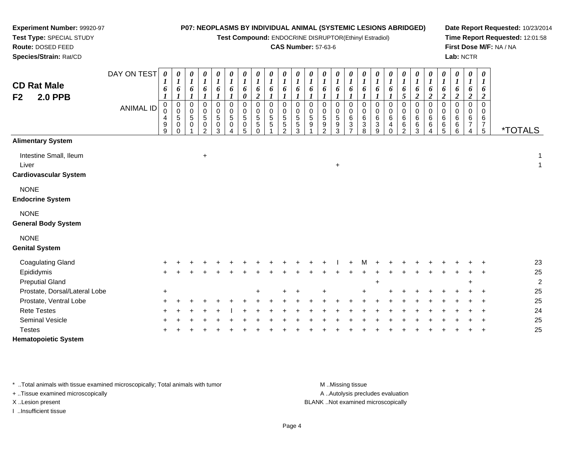**Test Compound:** ENDOCRINE DISRUPTOR(Ethinyl Estradiol)

#### **CAS Number:** 57-63-6

**Date Report Requested:** 10/23/2014**Time Report Requested:** 12:01:58**First Dose M/F:** NA / NA**Lab:** NCTR

| <b>CD Rat Male</b><br><b>2.0 PPB</b><br>F <sub>2</sub>          | DAY ON TEST<br><b>ANIMAL ID</b> | 0<br>6<br>$\boldsymbol{0}$<br>0<br>4<br>9<br>9 | $\pmb{\theta}$<br>$\boldsymbol{l}$<br>6<br>$\pmb{0}$<br>$\mathbf 0$<br>5<br>0<br>$\Omega$ | 0<br>$\boldsymbol{l}$<br>6<br>$\mathbf 0$<br>0<br>5<br>0 | 0<br>$\boldsymbol{l}$<br>6<br>$\pmb{0}$<br>$\pmb{0}$<br>$\mathbf 5$<br>$\,0\,$<br>$\overline{2}$ | 0<br>$\boldsymbol{l}$<br>6<br>0<br>0<br>$\overline{5}$<br>0<br>3 | $\boldsymbol{\theta}$<br>$\boldsymbol{l}$<br>6<br>$\pmb{0}$<br>$\pmb{0}$<br>$\sqrt{5}$<br>$\pmb{0}$<br>$\Delta$ | 0<br>$\boldsymbol{l}$<br>6<br>$\boldsymbol{\theta}$<br>$\mathbf 0$<br>$\mathbf 0$<br>$\sqrt{5}$<br>$\mathbf 0$<br>5 | $\begin{matrix} 0 \\ 1 \end{matrix}$<br>6<br>$\boldsymbol{2}$<br>$\pmb{0}$<br>$\mathbf 0$<br>$\mathbf 5$<br>$\overline{5}$<br>$\Omega$ | $\begin{matrix} 0 \\ 1 \end{matrix}$<br>6<br>$\mathbf 0$<br>0<br>5<br>5 | $\begin{matrix} 0 \\ 1 \end{matrix}$<br>6<br>$\mathbf 0$<br>0<br>$\,$ 5 $\,$<br>$\overline{5}$<br>$\mathcal{P}$ | $\boldsymbol{\theta}$<br>$\boldsymbol{l}$<br>6<br>$\mathbf 0$<br>0<br>5<br>$\overline{5}$<br>3 | 0<br>6<br>$\mathbf 0$<br>0<br>5<br>9 | 0<br>$\boldsymbol{l}$<br>6<br>$\Omega$<br>0<br>$\sqrt{5}$<br>$\boldsymbol{9}$<br>2 | 0<br>1<br>6<br>0<br>0<br>5<br>9<br>3 | 0<br>$\boldsymbol{l}$<br>6<br>$\mathbf 0$<br>$\mathbf 0$<br>6<br>$\ensuremath{\mathsf{3}}$<br>$\overline{ }$ | 0<br>$\boldsymbol{l}$<br>6<br>$\mathbf 0$<br>0<br>6<br>$\ensuremath{\mathsf{3}}$<br>8 | $\boldsymbol{\theta}$<br>$\boldsymbol{l}$<br>6<br>$\pmb{0}$<br>0<br>$\,6\,$<br>$\ensuremath{\mathsf{3}}$<br>9 | 0<br>$\boldsymbol{l}$<br>6<br>$\mathbf 0$<br>$\mathbf 0$<br>$\,6$<br>4<br>$\Omega$ | 0<br>$\boldsymbol{l}$<br>6<br>$\mathfrak{s}$<br>$\mathsf 0$<br>$\pmb{0}$<br>$\,6$<br>$\,6\,$<br>$\mathcal{P}$ | 0<br>$\boldsymbol{l}$<br>6<br>$\overline{2}$<br>0<br>0<br>$\,6\,$<br>$\,6\,$<br>3 | 0<br>$\boldsymbol{l}$<br>6<br>$\boldsymbol{2}$<br>0<br>0<br>$\,6$<br>6<br>$\overline{4}$ | $\boldsymbol{\theta}$<br>$\boldsymbol{l}$<br>6<br>$\boldsymbol{2}$<br>$\pmb{0}$<br>$\pmb{0}$<br>$\,6\,$<br>$\,6$<br>$\overline{5}$ | $\begin{matrix} 0 \\ 1 \end{matrix}$<br>6<br>$\boldsymbol{2}$<br>$\pmb{0}$<br>$\pmb{0}$<br>$^6_6$<br>$\,6$ | 0<br>$\boldsymbol{l}$<br>6<br>$\boldsymbol{2}$<br>$\mathbf 0$<br>0<br>$\,6\,$<br>$\overline{7}$<br>4 | $\boldsymbol{\theta}$<br>$\boldsymbol{l}$<br>6<br>$\boldsymbol{2}$<br>$\Omega$<br>0<br>$\,6\,$<br>$7\over 5$ | <i><b>*TOTALS</b></i> |
|-----------------------------------------------------------------|---------------------------------|------------------------------------------------|-------------------------------------------------------------------------------------------|----------------------------------------------------------|--------------------------------------------------------------------------------------------------|------------------------------------------------------------------|-----------------------------------------------------------------------------------------------------------------|---------------------------------------------------------------------------------------------------------------------|----------------------------------------------------------------------------------------------------------------------------------------|-------------------------------------------------------------------------|-----------------------------------------------------------------------------------------------------------------|------------------------------------------------------------------------------------------------|--------------------------------------|------------------------------------------------------------------------------------|--------------------------------------|--------------------------------------------------------------------------------------------------------------|---------------------------------------------------------------------------------------|---------------------------------------------------------------------------------------------------------------|------------------------------------------------------------------------------------|---------------------------------------------------------------------------------------------------------------|-----------------------------------------------------------------------------------|------------------------------------------------------------------------------------------|------------------------------------------------------------------------------------------------------------------------------------|------------------------------------------------------------------------------------------------------------|------------------------------------------------------------------------------------------------------|--------------------------------------------------------------------------------------------------------------|-----------------------|
| <b>Alimentary System</b>                                        |                                 |                                                |                                                                                           |                                                          |                                                                                                  |                                                                  |                                                                                                                 |                                                                                                                     |                                                                                                                                        |                                                                         |                                                                                                                 |                                                                                                |                                      |                                                                                    |                                      |                                                                                                              |                                                                                       |                                                                                                               |                                                                                    |                                                                                                               |                                                                                   |                                                                                          |                                                                                                                                    |                                                                                                            |                                                                                                      |                                                                                                              |                       |
| Intestine Small, Ileum<br>Liver<br><b>Cardiovascular System</b> |                                 |                                                |                                                                                           |                                                          | $\ddot{}$                                                                                        |                                                                  |                                                                                                                 |                                                                                                                     |                                                                                                                                        |                                                                         |                                                                                                                 |                                                                                                |                                      |                                                                                    | $+$                                  |                                                                                                              |                                                                                       |                                                                                                               |                                                                                    |                                                                                                               |                                                                                   |                                                                                          |                                                                                                                                    |                                                                                                            |                                                                                                      |                                                                                                              | 1<br>1                |
| <b>NONE</b><br><b>Endocrine System</b>                          |                                 |                                                |                                                                                           |                                                          |                                                                                                  |                                                                  |                                                                                                                 |                                                                                                                     |                                                                                                                                        |                                                                         |                                                                                                                 |                                                                                                |                                      |                                                                                    |                                      |                                                                                                              |                                                                                       |                                                                                                               |                                                                                    |                                                                                                               |                                                                                   |                                                                                          |                                                                                                                                    |                                                                                                            |                                                                                                      |                                                                                                              |                       |
| <b>NONE</b><br><b>General Body System</b>                       |                                 |                                                |                                                                                           |                                                          |                                                                                                  |                                                                  |                                                                                                                 |                                                                                                                     |                                                                                                                                        |                                                                         |                                                                                                                 |                                                                                                |                                      |                                                                                    |                                      |                                                                                                              |                                                                                       |                                                                                                               |                                                                                    |                                                                                                               |                                                                                   |                                                                                          |                                                                                                                                    |                                                                                                            |                                                                                                      |                                                                                                              |                       |
| <b>NONE</b><br><b>Genital System</b>                            |                                 |                                                |                                                                                           |                                                          |                                                                                                  |                                                                  |                                                                                                                 |                                                                                                                     |                                                                                                                                        |                                                                         |                                                                                                                 |                                                                                                |                                      |                                                                                    |                                      |                                                                                                              |                                                                                       |                                                                                                               |                                                                                    |                                                                                                               |                                                                                   |                                                                                          |                                                                                                                                    |                                                                                                            |                                                                                                      |                                                                                                              |                       |
| <b>Coagulating Gland</b>                                        |                                 |                                                |                                                                                           |                                                          |                                                                                                  |                                                                  |                                                                                                                 |                                                                                                                     |                                                                                                                                        |                                                                         |                                                                                                                 |                                                                                                |                                      |                                                                                    |                                      |                                                                                                              |                                                                                       |                                                                                                               |                                                                                    |                                                                                                               |                                                                                   |                                                                                          |                                                                                                                                    |                                                                                                            |                                                                                                      |                                                                                                              | 23                    |
| Epididymis                                                      |                                 |                                                |                                                                                           |                                                          |                                                                                                  |                                                                  |                                                                                                                 |                                                                                                                     |                                                                                                                                        |                                                                         |                                                                                                                 |                                                                                                |                                      |                                                                                    |                                      |                                                                                                              |                                                                                       |                                                                                                               |                                                                                    |                                                                                                               |                                                                                   |                                                                                          |                                                                                                                                    |                                                                                                            |                                                                                                      |                                                                                                              | 25                    |
| <b>Preputial Gland</b>                                          |                                 |                                                |                                                                                           |                                                          |                                                                                                  |                                                                  |                                                                                                                 |                                                                                                                     |                                                                                                                                        |                                                                         |                                                                                                                 |                                                                                                |                                      |                                                                                    |                                      |                                                                                                              |                                                                                       | $\ddot{}$                                                                                                     |                                                                                    |                                                                                                               |                                                                                   |                                                                                          |                                                                                                                                    |                                                                                                            |                                                                                                      |                                                                                                              | $\overline{2}$        |
| Prostate, Dorsal/Lateral Lobe                                   |                                 | $\ddot{}$                                      |                                                                                           |                                                          |                                                                                                  |                                                                  |                                                                                                                 |                                                                                                                     |                                                                                                                                        |                                                                         |                                                                                                                 |                                                                                                |                                      |                                                                                    |                                      |                                                                                                              |                                                                                       |                                                                                                               |                                                                                    |                                                                                                               |                                                                                   |                                                                                          |                                                                                                                                    |                                                                                                            |                                                                                                      |                                                                                                              | 25                    |
| Prostate, Ventral Lobe                                          |                                 |                                                |                                                                                           |                                                          |                                                                                                  |                                                                  |                                                                                                                 |                                                                                                                     |                                                                                                                                        |                                                                         |                                                                                                                 |                                                                                                |                                      |                                                                                    |                                      |                                                                                                              |                                                                                       |                                                                                                               |                                                                                    |                                                                                                               |                                                                                   |                                                                                          |                                                                                                                                    |                                                                                                            |                                                                                                      |                                                                                                              | 25                    |
| <b>Rete Testes</b><br><b>Seminal Vesicle</b>                    |                                 |                                                |                                                                                           |                                                          |                                                                                                  |                                                                  |                                                                                                                 |                                                                                                                     |                                                                                                                                        |                                                                         |                                                                                                                 |                                                                                                |                                      |                                                                                    |                                      |                                                                                                              |                                                                                       |                                                                                                               |                                                                                    |                                                                                                               |                                                                                   |                                                                                          |                                                                                                                                    |                                                                                                            |                                                                                                      |                                                                                                              | 24<br>25              |
| <b>Testes</b>                                                   |                                 |                                                |                                                                                           |                                                          |                                                                                                  |                                                                  |                                                                                                                 |                                                                                                                     |                                                                                                                                        |                                                                         |                                                                                                                 |                                                                                                |                                      |                                                                                    |                                      |                                                                                                              |                                                                                       |                                                                                                               |                                                                                    |                                                                                                               |                                                                                   |                                                                                          |                                                                                                                                    |                                                                                                            |                                                                                                      |                                                                                                              | 25                    |
|                                                                 |                                 |                                                |                                                                                           |                                                          |                                                                                                  |                                                                  |                                                                                                                 |                                                                                                                     |                                                                                                                                        |                                                                         |                                                                                                                 |                                                                                                |                                      |                                                                                    |                                      |                                                                                                              |                                                                                       |                                                                                                               |                                                                                    |                                                                                                               |                                                                                   |                                                                                          |                                                                                                                                    |                                                                                                            |                                                                                                      |                                                                                                              |                       |

**Hematopoietic System**

**Experiment Number:** 99920-97**Test Type:** SPECIAL STUDY**Route:** DOSED FEED**Species/Strain:** Rat/CD

\* ..Total animals with tissue examined microscopically; Total animals with tumor **M** ...Missing tissue M ...Missing tissue

+ ..Tissue examined microscopically

I ..Insufficient tissue

A ..Autolysis precludes evaluation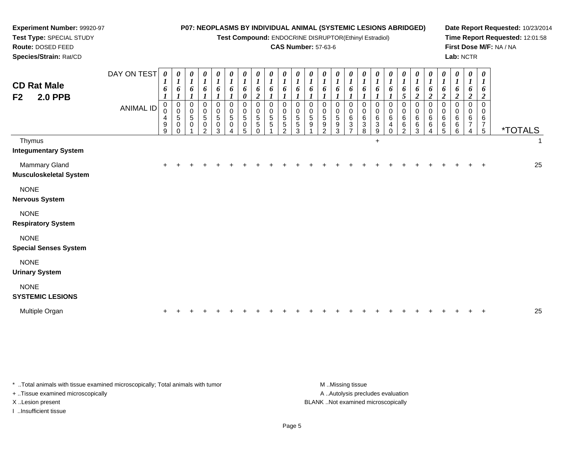| Experiment Number: 99920-97                            |                                                                                     |                                                |                                                                       |                       |                                                                              |                                                                         |                                                              |                                                                             |                                                               |                                        |                                                                    |                                           |                  | P07: NEOPLASMS BY INDIVIDUAL ANIMAL (SYSTEMIC LESIONS ABRIDGED)    |                                                                    |                                                          |                                                                    |                                                                        |                                                    |                                                                             |                                                                           |                                                        |                                                            |                                                                            |                                                               |                                                  | Date Report Requested: 10/23/2014                          |    |
|--------------------------------------------------------|-------------------------------------------------------------------------------------|------------------------------------------------|-----------------------------------------------------------------------|-----------------------|------------------------------------------------------------------------------|-------------------------------------------------------------------------|--------------------------------------------------------------|-----------------------------------------------------------------------------|---------------------------------------------------------------|----------------------------------------|--------------------------------------------------------------------|-------------------------------------------|------------------|--------------------------------------------------------------------|--------------------------------------------------------------------|----------------------------------------------------------|--------------------------------------------------------------------|------------------------------------------------------------------------|----------------------------------------------------|-----------------------------------------------------------------------------|---------------------------------------------------------------------------|--------------------------------------------------------|------------------------------------------------------------|----------------------------------------------------------------------------|---------------------------------------------------------------|--------------------------------------------------|------------------------------------------------------------|----|
| Test Type: SPECIAL STUDY<br>Route: DOSED FEED          | Test Compound: ENDOCRINE DISRUPTOR(Ethinyl Estradiol)<br><b>CAS Number: 57-63-6</b> |                                                |                                                                       |                       |                                                                              |                                                                         |                                                              |                                                                             |                                                               |                                        |                                                                    |                                           |                  |                                                                    |                                                                    |                                                          |                                                                    |                                                                        |                                                    |                                                                             |                                                                           |                                                        |                                                            |                                                                            |                                                               |                                                  | Time Report Requested: 12:01:58<br>First Dose M/F: NA / NA |    |
| Species/Strain: Rat/CD                                 |                                                                                     |                                                |                                                                       |                       |                                                                              |                                                                         |                                                              |                                                                             |                                                               |                                        |                                                                    |                                           |                  |                                                                    |                                                                    |                                                          |                                                                    |                                                                        |                                                    |                                                                             |                                                                           |                                                        |                                                            |                                                                            | Lab: NCTR                                                     |                                                  |                                                            |    |
| <b>CD Rat Male</b><br>F <sub>2</sub><br><b>2.0 PPB</b> | DAY ON TEST<br><b>ANIMAL ID</b>                                                     | $\boldsymbol{\theta}$<br>6<br>0<br>$\mathbf 0$ | $\boldsymbol{\theta}$<br>1<br>6<br>$\boldsymbol{l}$<br>0<br>$\pmb{0}$ | 0<br>1<br>6<br>0<br>0 | $\boldsymbol{\theta}$<br>$\boldsymbol{l}$<br>6<br>$\mathbf 0$<br>$\mathbf 0$ | $\boldsymbol{\theta}$<br>$\boldsymbol{l}$<br>6<br>1<br>0<br>$\mathbf 0$ | $\boldsymbol{\theta}$<br>1<br>6<br>1<br>$\Omega$<br>$\Omega$ | $\boldsymbol{\theta}$<br>$\boldsymbol{l}$<br>6<br>0<br>$\Omega$<br>$\Omega$ | 0<br>$\boldsymbol{l}$<br>6<br>$\overline{c}$<br>$\Omega$<br>0 | 0<br>1<br>6<br>$\Omega$<br>$\mathbf 0$ | $\boldsymbol{\theta}$<br>$\boldsymbol{l}$<br>6<br>$\mathbf 0$<br>0 | $\boldsymbol{\theta}$<br>1<br>6<br>0<br>0 | 1<br>6<br>0<br>0 | $\boldsymbol{\theta}$<br>$\boldsymbol{l}$<br>6<br>$\mathbf 0$<br>0 | $\boldsymbol{\theta}$<br>$\boldsymbol{l}$<br>6<br>$\mathbf 0$<br>0 | 0<br>$\boldsymbol{l}$<br>6<br>$\boldsymbol{l}$<br>0<br>0 | $\boldsymbol{\theta}$<br>$\boldsymbol{l}$<br>6<br>$\mathbf 0$<br>0 | $\boldsymbol{\theta}$<br>$\boldsymbol{I}$<br>6<br>$\Omega$<br>$\Omega$ | $\boldsymbol{\theta}$<br>$\bm{l}$<br>6<br>$\Omega$ | $\boldsymbol{\theta}$<br>$\boldsymbol{l}$<br>6<br>5<br>$\Omega$<br>$\Omega$ | $\boldsymbol{\theta}$<br>1<br>6<br>$\overline{2}$<br>$\Omega$<br>$\Omega$ | 0<br>$\boldsymbol{l}$<br>6<br>$\overline{c}$<br>0<br>0 | 0<br>1<br>6<br>$\boldsymbol{2}$<br>$\mathbf 0$<br>$\Omega$ | $\boldsymbol{\theta}$<br>$\boldsymbol{l}$<br>6<br>$\overline{c}$<br>0<br>0 | $\boldsymbol{\theta}$<br>1<br>6<br>$\boldsymbol{2}$<br>0<br>0 | 0<br>1<br>6<br>$\boldsymbol{2}$<br>$\Omega$<br>0 |                                                            |    |
|                                                        |                                                                                     | 4<br>9<br>9                                    | $\sqrt{5}$<br>$\pmb{0}$<br>0                                          | 5<br>$\Omega$         | 5<br>0<br>$\mathcal{P}$                                                      | $\sqrt{5}$<br>0<br>3                                                    | 5<br>0                                                       | 5<br>0<br>5                                                                 | 5<br>5<br>$\Omega$                                            | 5<br>5                                 | 5<br>5<br>$\mathcal{P}$                                            | 5<br>5<br>3                               | 5<br>9           | $\sqrt{5}$<br>9<br>$\mathfrak{p}$                                  | 5<br>9<br>3                                                        | 6<br>3<br>$\overline{7}$                                 | $\,6\,$<br>3<br>8                                                  | 6<br>3<br>9                                                            | 6<br>4                                             | 6<br>6<br>$\mathcal{P}$                                                     | 6<br>6<br>3                                                               | 6<br>6<br>4                                            | 6<br>6<br>5                                                | 6<br>6<br>6                                                                | 6<br>7<br>$\overline{4}$                                      | 6<br>7<br>5                                      | <i><b>*TOTALS</b></i>                                      |    |
| Thymus<br><b>Integumentary System</b>                  |                                                                                     |                                                |                                                                       |                       |                                                                              |                                                                         |                                                              |                                                                             |                                                               |                                        |                                                                    |                                           |                  |                                                                    |                                                                    |                                                          |                                                                    | $\ddot{}$                                                              |                                                    |                                                                             |                                                                           |                                                        |                                                            |                                                                            |                                                               |                                                  |                                                            |    |
| <b>Mammary Gland</b><br><b>Musculoskeletal System</b>  |                                                                                     | $\ddot{}$                                      |                                                                       |                       |                                                                              |                                                                         |                                                              |                                                                             |                                                               |                                        |                                                                    |                                           |                  |                                                                    |                                                                    |                                                          |                                                                    |                                                                        |                                                    |                                                                             |                                                                           |                                                        |                                                            |                                                                            |                                                               |                                                  |                                                            | 25 |
| <b>NONE</b><br><b>Nervous System</b>                   |                                                                                     |                                                |                                                                       |                       |                                                                              |                                                                         |                                                              |                                                                             |                                                               |                                        |                                                                    |                                           |                  |                                                                    |                                                                    |                                                          |                                                                    |                                                                        |                                                    |                                                                             |                                                                           |                                                        |                                                            |                                                                            |                                                               |                                                  |                                                            |    |
| <b>NONE</b><br><b>Respiratory System</b>               |                                                                                     |                                                |                                                                       |                       |                                                                              |                                                                         |                                                              |                                                                             |                                                               |                                        |                                                                    |                                           |                  |                                                                    |                                                                    |                                                          |                                                                    |                                                                        |                                                    |                                                                             |                                                                           |                                                        |                                                            |                                                                            |                                                               |                                                  |                                                            |    |
| <b>NONE</b><br><b>Special Senses System</b>            |                                                                                     |                                                |                                                                       |                       |                                                                              |                                                                         |                                                              |                                                                             |                                                               |                                        |                                                                    |                                           |                  |                                                                    |                                                                    |                                                          |                                                                    |                                                                        |                                                    |                                                                             |                                                                           |                                                        |                                                            |                                                                            |                                                               |                                                  |                                                            |    |
| <b>NONE</b><br><b>Urinary System</b>                   |                                                                                     |                                                |                                                                       |                       |                                                                              |                                                                         |                                                              |                                                                             |                                                               |                                        |                                                                    |                                           |                  |                                                                    |                                                                    |                                                          |                                                                    |                                                                        |                                                    |                                                                             |                                                                           |                                                        |                                                            |                                                                            |                                                               |                                                  |                                                            |    |
| <b>NONE</b><br><b>SYSTEMIC LESIONS</b>                 |                                                                                     |                                                |                                                                       |                       |                                                                              |                                                                         |                                                              |                                                                             |                                                               |                                        |                                                                    |                                           |                  |                                                                    |                                                                    |                                                          |                                                                    |                                                                        |                                                    |                                                                             |                                                                           |                                                        |                                                            |                                                                            |                                                               |                                                  |                                                            |    |
| Multiple Organ                                         |                                                                                     |                                                |                                                                       |                       |                                                                              |                                                                         |                                                              |                                                                             |                                                               |                                        |                                                                    |                                           |                  |                                                                    |                                                                    |                                                          |                                                                    |                                                                        |                                                    |                                                                             |                                                                           |                                                        |                                                            |                                                                            |                                                               |                                                  |                                                            | 25 |

\* ..Total animals with tissue examined microscopically; Total animals with tumor M..Missing tissue M ..Missing tissue + ..Tissue examined microscopically

I ..Insufficient tissue

A ..Autolysis precludes evaluation X ..Lesion present BLANK ..Not examined microscopically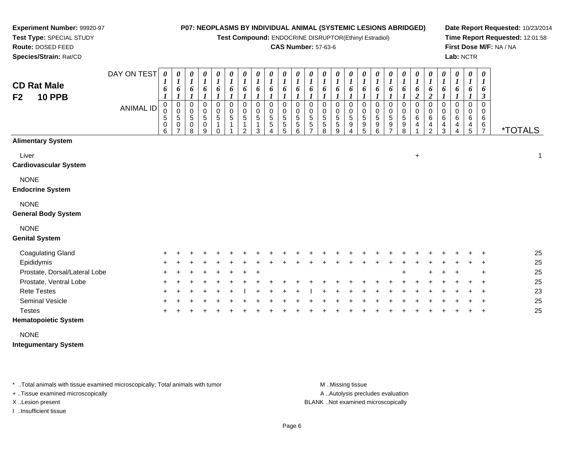*0 1*

*0 1*

*0 1*

*0 1*

*0 1*

*0 1*

*0 1*

*0 1*

*0 1*

*0 1*

*0 1*

*0 1*

*0 1*

*0 1*

*0 1*

*0 1*

*0 1*

*0 1*

**Test Compound:** ENDOCRINE DISRUPTOR(Ethinyl Estradiol)

#### **CAS Number:** 57-63-6

**Date Report Requested:** 10/23/2014**Time Report Requested:** 12:01:58**First Dose M/F:** NA / NA**Lab:** NCTR

**Test Type:** SPECIAL STUDY**Route:** DOSED FEED **Species/Strain:** Rat/CDDAY ON TEST *0 1***CD Rat Male***0 10 10 10 10 10 1*

# **F2**

**Experiment Number:** 99920-97

| <b>UD NAI MAIG</b><br><b>10 PPB</b><br>F <sub>2</sub> | <b>ANIMAL ID</b> | 6<br>0<br>0<br>$\mathbf 5$<br>0<br>6 | 6<br>$\boldsymbol{l}$<br>$\mathbf 0$<br>$\pmb{0}$<br>5<br>0<br>7 | 6<br>$\mathbf{I}$<br>0<br>$\pmb{0}$<br>$\,$ 5 $\,$<br>0<br>8 | $\frac{6}{1}$<br>0<br>$\pmb{0}$<br>$\overline{5}$<br>0<br>9 | 6<br>$\boldsymbol{l}$<br>0<br>$\ddot{\mathbf{0}}$<br>5<br>$\Omega$ | 6<br>$\boldsymbol{l}$<br>$\mathbf 0$<br>$\pmb{0}$<br>5<br>$\mathbf{1}$ | 6<br>$\boldsymbol{l}$<br>0<br>$\mathbf 0$<br>$\,$ 5 $\,$<br>2 | 6<br>$\boldsymbol{l}$<br>$\Omega$<br>0<br>5<br>3 | 6<br>$\boldsymbol{l}$<br>$\Omega$<br>$\mathbf 0$<br>$\sqrt{5}$<br>5<br>$\overline{4}$ | 6<br>$\boldsymbol{l}$<br>0<br>$\pmb{0}$<br>$\overline{5}$<br>5<br>5 | $\frac{6}{1}$<br>0<br>$\pmb{0}$<br>$\frac{5}{5}$<br>$6\phantom{a}$ | $\frac{6}{1}$<br>$\Omega$<br>$\pmb{0}$<br>$\sqrt{5}$<br>$\sqrt{5}$<br>$\overline{ }$ | $\frac{6}{1}$<br>0<br>0<br>$\mathbf 5$<br>5<br>8 | 6<br>$\mathbf{I}$<br>$\pmb{0}$<br>5<br>5<br>9 | 6<br>$\mathbf{I}$<br>0<br>$\pmb{0}$<br>5<br>9 | 6<br>$\boldsymbol{l}$<br>$\Omega$<br>$\pmb{0}$<br>$\mathbf 5$<br>$\boldsymbol{9}$<br>5 | 6<br>$\boldsymbol{l}$<br>0<br>$\pmb{0}$<br>5<br>9<br>6 | 6<br>1<br>0<br>$\pmb{0}$<br>$\mathbf 5$<br>9<br>$\overline{ }$ | 6<br>$\boldsymbol{l}$<br>0<br>$\pmb{0}$<br>$\overline{5}$<br>$\boldsymbol{9}$<br>8 | $\frac{6}{2}$<br>0<br>$\pmb{0}$<br>$\,6\,$<br>4 | 6<br>$\overline{2}$<br>$\Omega$<br>$\mathbf 0$<br>$\,6$<br>4<br>$\overline{2}$ | 6<br>$\mathbf{I}$<br>0<br>$\mathbf 0$<br>$\,6\,$<br>4<br>3 | 6<br>$\boldsymbol{l}$<br>$\Omega$<br>$\mathbf 0$<br>$\,6$<br>4<br>4 | 6<br>$\boldsymbol{l}$<br>$\Omega$<br>0<br>6<br>4<br>$\sqrt{5}$ | 6<br>$\boldsymbol{\beta}$<br>$\Omega$<br>$\mathbf 0$<br>6<br>6<br>$\overline{7}$ | <i><b>*TOTALS</b></i> |    |
|-------------------------------------------------------|------------------|--------------------------------------|------------------------------------------------------------------|--------------------------------------------------------------|-------------------------------------------------------------|--------------------------------------------------------------------|------------------------------------------------------------------------|---------------------------------------------------------------|--------------------------------------------------|---------------------------------------------------------------------------------------|---------------------------------------------------------------------|--------------------------------------------------------------------|--------------------------------------------------------------------------------------|--------------------------------------------------|-----------------------------------------------|-----------------------------------------------|----------------------------------------------------------------------------------------|--------------------------------------------------------|----------------------------------------------------------------|------------------------------------------------------------------------------------|-------------------------------------------------|--------------------------------------------------------------------------------|------------------------------------------------------------|---------------------------------------------------------------------|----------------------------------------------------------------|----------------------------------------------------------------------------------|-----------------------|----|
| <b>Alimentary System</b>                              |                  |                                      |                                                                  |                                                              |                                                             |                                                                    |                                                                        |                                                               |                                                  |                                                                                       |                                                                     |                                                                    |                                                                                      |                                                  |                                               |                                               |                                                                                        |                                                        |                                                                |                                                                                    |                                                 |                                                                                |                                                            |                                                                     |                                                                |                                                                                  |                       |    |
| Liver<br><b>Cardiovascular System</b>                 |                  |                                      |                                                                  |                                                              |                                                             |                                                                    |                                                                        |                                                               |                                                  |                                                                                       |                                                                     |                                                                    |                                                                                      |                                                  |                                               |                                               |                                                                                        |                                                        |                                                                |                                                                                    | $+$                                             |                                                                                |                                                            |                                                                     |                                                                |                                                                                  |                       | 1  |
| <b>NONE</b><br><b>Endocrine System</b>                |                  |                                      |                                                                  |                                                              |                                                             |                                                                    |                                                                        |                                                               |                                                  |                                                                                       |                                                                     |                                                                    |                                                                                      |                                                  |                                               |                                               |                                                                                        |                                                        |                                                                |                                                                                    |                                                 |                                                                                |                                                            |                                                                     |                                                                |                                                                                  |                       |    |
| <b>NONE</b><br><b>General Body System</b>             |                  |                                      |                                                                  |                                                              |                                                             |                                                                    |                                                                        |                                                               |                                                  |                                                                                       |                                                                     |                                                                    |                                                                                      |                                                  |                                               |                                               |                                                                                        |                                                        |                                                                |                                                                                    |                                                 |                                                                                |                                                            |                                                                     |                                                                |                                                                                  |                       |    |
| <b>NONE</b><br><b>Genital System</b>                  |                  |                                      |                                                                  |                                                              |                                                             |                                                                    |                                                                        |                                                               |                                                  |                                                                                       |                                                                     |                                                                    |                                                                                      |                                                  |                                               |                                               |                                                                                        |                                                        |                                                                |                                                                                    |                                                 |                                                                                |                                                            |                                                                     |                                                                |                                                                                  |                       |    |
| <b>Coagulating Gland</b>                              |                  |                                      |                                                                  |                                                              |                                                             |                                                                    |                                                                        |                                                               |                                                  |                                                                                       |                                                                     |                                                                    |                                                                                      |                                                  |                                               |                                               |                                                                                        |                                                        |                                                                |                                                                                    |                                                 |                                                                                |                                                            |                                                                     |                                                                |                                                                                  |                       | 25 |
| Epididymis                                            |                  |                                      |                                                                  |                                                              |                                                             |                                                                    |                                                                        |                                                               |                                                  |                                                                                       |                                                                     |                                                                    |                                                                                      |                                                  |                                               |                                               |                                                                                        |                                                        |                                                                |                                                                                    |                                                 |                                                                                |                                                            |                                                                     |                                                                |                                                                                  |                       | 25 |
| Prostate, Dorsal/Lateral Lobe                         |                  |                                      |                                                                  |                                                              |                                                             |                                                                    |                                                                        | $\div$                                                        | $\ddot{}$                                        |                                                                                       |                                                                     |                                                                    |                                                                                      |                                                  |                                               |                                               |                                                                                        |                                                        |                                                                | $\ddot{}$                                                                          |                                                 |                                                                                |                                                            |                                                                     |                                                                | $\ddot{}$                                                                        |                       | 25 |
| Prostate, Ventral Lobe                                |                  |                                      |                                                                  |                                                              |                                                             |                                                                    |                                                                        |                                                               |                                                  |                                                                                       |                                                                     |                                                                    |                                                                                      |                                                  |                                               |                                               |                                                                                        |                                                        |                                                                |                                                                                    |                                                 |                                                                                |                                                            |                                                                     |                                                                |                                                                                  |                       | 25 |
| <b>Rete Testes</b>                                    |                  |                                      |                                                                  |                                                              |                                                             |                                                                    |                                                                        |                                                               |                                                  |                                                                                       |                                                                     |                                                                    |                                                                                      |                                                  |                                               |                                               |                                                                                        |                                                        |                                                                |                                                                                    |                                                 |                                                                                |                                                            |                                                                     |                                                                | $\ddot{}$                                                                        |                       | 23 |
| Seminal Vesicle                                       |                  |                                      |                                                                  |                                                              |                                                             |                                                                    |                                                                        |                                                               |                                                  |                                                                                       |                                                                     |                                                                    |                                                                                      |                                                  |                                               |                                               |                                                                                        |                                                        |                                                                |                                                                                    |                                                 |                                                                                |                                                            |                                                                     |                                                                |                                                                                  |                       | 25 |
| <b>Testes</b>                                         |                  |                                      |                                                                  |                                                              |                                                             |                                                                    |                                                                        |                                                               |                                                  |                                                                                       |                                                                     |                                                                    |                                                                                      |                                                  |                                               |                                               |                                                                                        |                                                        |                                                                |                                                                                    |                                                 |                                                                                |                                                            |                                                                     |                                                                | $\overline{+}$                                                                   |                       | 25 |

#### **Hematopoietic System**

NONE

**Integumentary System**

\* ..Total animals with tissue examined microscopically; Total animals with tumor **M** ..Missing tissue M ..Missing tissue

+ ..Tissue examined microscopically

I ..Insufficient tissue

A .. Autolysis precludes evaluation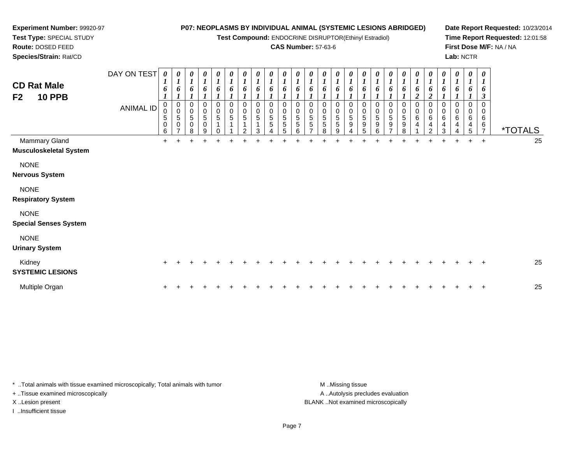#### **Experiment Number:** 99920-97**Test Type:** SPECIAL STUDY**P07: NEOPLASMS BY INDIVIDUAL ANIMAL (SYSTEMIC LESIONS ABRIDGED)**

**Test Compound:** ENDOCRINE DISRUPTOR(Ethinyl Estradiol)

# **CAS Number:** 57-63-6

**Date Report Requested:** 10/23/2014**Time Report Requested:** 12:01:58**First Dose M/F:** NA / NA**Lab:** NCTR

| <b>CD Rat Male</b><br>F <sub>2</sub><br><b>10 PPB</b> | DAY ON TEST<br><b>ANIMAL ID</b> | $\boldsymbol{\theta}$<br>1<br>6<br>0<br>0<br>5<br>$\mathbf 0$<br>6 | 0<br>$\boldsymbol{l}$<br>6<br>$_{\rm 0}^{\rm 0}$<br>$\overline{5}$<br>$\pmb{0}$ | 0<br>$\boldsymbol{l}$<br>6<br>$_0^0$<br>5<br>0<br>8 | 0<br>$\boldsymbol{l}$<br>6<br>$\begin{matrix}0\0\5\end{matrix}$<br>$\,0\,$<br>9 | $\boldsymbol{\theta}$<br>$\boldsymbol{l}$<br>6<br>$\pmb{0}$<br>$\pmb{0}$<br>$\overline{5}$<br>1 | 0<br>$\boldsymbol{l}$<br>6<br>0<br>$\mathsf{O}\xspace$<br>5 | 0<br>$\boldsymbol{l}$<br>6<br>0<br>$\mathbf 0$<br>5<br>2 | $\boldsymbol{\theta}$<br>$\boldsymbol{l}$<br>$\Omega$<br>0<br>5 | $\boldsymbol{\theta}$<br>6<br>0<br>$\pmb{0}$<br>$\sqrt{5}$<br>5 | $\boldsymbol{\theta}$<br>$\boldsymbol{l}$<br>6<br>0<br>$\mathsf{O}\xspace$<br>5<br>5<br>5 | 0<br>$\boldsymbol{l}$<br>6<br>0<br>$\pmb{0}$<br>$\,$ 5 $\,$<br>$\,$ 5 $\,$<br>6 | 0<br>$\boldsymbol{l}$<br>6<br>0<br>$\pmb{0}$<br>$\overline{5}$<br>5 | 0<br>$\boldsymbol{l}$<br>6<br>0<br>$\mathbf 0$<br>$\overline{5}$<br>$\sqrt{5}$<br>8 | 0<br>$\boldsymbol{l}$<br>6<br>0<br>$\pmb{0}$<br>$\mathbf 5$<br>$\sqrt{5}$<br>9 | $\boldsymbol{l}$<br>6<br>0<br>$\pmb{0}$<br>5<br>9 | $\boldsymbol{l}$<br>6<br>0<br>$\pmb{0}$<br>$\,$ 5 $\,$<br>9<br>5 | 0<br>$\boldsymbol{l}$<br>6<br>0<br>$\pmb{0}$<br>$\overline{5}$<br>$\boldsymbol{9}$<br>6 | 0<br>$\boldsymbol{l}$<br>6<br>0<br>$\pmb{0}$<br>$\,$ 5 $\,$<br>9<br>$\overline{ }$ | 0<br>$\boldsymbol{l}$<br>6<br>0<br>$\pmb{0}$<br>$\sqrt{5}$<br>9<br>8 | $\boldsymbol{\theta}$<br>$\boldsymbol{l}$<br>6<br>$\overline{2}$<br>0<br>$\pmb{0}$<br>$\,6\,$<br>4 | 0<br>$\boldsymbol{l}$<br>6<br>$\boldsymbol{2}$<br>$\Omega$<br>0<br>$\,6\,$<br>4<br>$\overline{c}$ | 0<br>$\boldsymbol{l}$<br>6<br>$\Omega$<br>0<br>6<br>4<br>3 | $\boldsymbol{\theta}$<br>$\boldsymbol{l}$<br>6<br>0<br>0<br>6<br>4 | 0<br>$\boldsymbol{l}$<br>6<br>0<br>$\,0\,$<br>6<br>$\overline{4}$<br>$\overline{5}$ | $\boldsymbol{\theta}$<br>$\boldsymbol{l}$<br>6<br>$\mathfrak{z}$<br>0<br>0<br>$\,6\,$<br>6<br>$\overline{7}$ | <i><b>*TOTALS</b></i> |
|-------------------------------------------------------|---------------------------------|--------------------------------------------------------------------|---------------------------------------------------------------------------------|-----------------------------------------------------|---------------------------------------------------------------------------------|-------------------------------------------------------------------------------------------------|-------------------------------------------------------------|----------------------------------------------------------|-----------------------------------------------------------------|-----------------------------------------------------------------|-------------------------------------------------------------------------------------------|---------------------------------------------------------------------------------|---------------------------------------------------------------------|-------------------------------------------------------------------------------------|--------------------------------------------------------------------------------|---------------------------------------------------|------------------------------------------------------------------|-----------------------------------------------------------------------------------------|------------------------------------------------------------------------------------|----------------------------------------------------------------------|----------------------------------------------------------------------------------------------------|---------------------------------------------------------------------------------------------------|------------------------------------------------------------|--------------------------------------------------------------------|-------------------------------------------------------------------------------------|--------------------------------------------------------------------------------------------------------------|-----------------------|
| Mammary Gland<br><b>Musculoskeletal System</b>        |                                 | $+$                                                                |                                                                                 | $\ddot{}$                                           | $\ddot{}$                                                                       |                                                                                                 |                                                             |                                                          |                                                                 |                                                                 |                                                                                           |                                                                                 |                                                                     |                                                                                     |                                                                                |                                                   |                                                                  |                                                                                         |                                                                                    |                                                                      |                                                                                                    | $\ddot{}$                                                                                         | $+$                                                        |                                                                    | $\ddot{}$                                                                           | $+$                                                                                                          | 25                    |
| <b>NONE</b><br><b>Nervous System</b>                  |                                 |                                                                    |                                                                                 |                                                     |                                                                                 |                                                                                                 |                                                             |                                                          |                                                                 |                                                                 |                                                                                           |                                                                                 |                                                                     |                                                                                     |                                                                                |                                                   |                                                                  |                                                                                         |                                                                                    |                                                                      |                                                                                                    |                                                                                                   |                                                            |                                                                    |                                                                                     |                                                                                                              |                       |
| <b>NONE</b><br><b>Respiratory System</b>              |                                 |                                                                    |                                                                                 |                                                     |                                                                                 |                                                                                                 |                                                             |                                                          |                                                                 |                                                                 |                                                                                           |                                                                                 |                                                                     |                                                                                     |                                                                                |                                                   |                                                                  |                                                                                         |                                                                                    |                                                                      |                                                                                                    |                                                                                                   |                                                            |                                                                    |                                                                                     |                                                                                                              |                       |
| <b>NONE</b><br><b>Special Senses System</b>           |                                 |                                                                    |                                                                                 |                                                     |                                                                                 |                                                                                                 |                                                             |                                                          |                                                                 |                                                                 |                                                                                           |                                                                                 |                                                                     |                                                                                     |                                                                                |                                                   |                                                                  |                                                                                         |                                                                                    |                                                                      |                                                                                                    |                                                                                                   |                                                            |                                                                    |                                                                                     |                                                                                                              |                       |
| <b>NONE</b><br><b>Urinary System</b>                  |                                 |                                                                    |                                                                                 |                                                     |                                                                                 |                                                                                                 |                                                             |                                                          |                                                                 |                                                                 |                                                                                           |                                                                                 |                                                                     |                                                                                     |                                                                                |                                                   |                                                                  |                                                                                         |                                                                                    |                                                                      |                                                                                                    |                                                                                                   |                                                            |                                                                    |                                                                                     |                                                                                                              |                       |
| Kidney<br><b>SYSTEMIC LESIONS</b>                     |                                 | ٠                                                                  |                                                                                 |                                                     |                                                                                 |                                                                                                 |                                                             |                                                          |                                                                 |                                                                 |                                                                                           |                                                                                 |                                                                     |                                                                                     |                                                                                |                                                   |                                                                  |                                                                                         |                                                                                    |                                                                      |                                                                                                    |                                                                                                   |                                                            |                                                                    |                                                                                     | $+$                                                                                                          | 25                    |
| Multiple Organ                                        |                                 | +                                                                  |                                                                                 |                                                     |                                                                                 |                                                                                                 |                                                             |                                                          |                                                                 |                                                                 |                                                                                           |                                                                                 |                                                                     |                                                                                     |                                                                                |                                                   |                                                                  |                                                                                         |                                                                                    |                                                                      |                                                                                                    |                                                                                                   |                                                            |                                                                    |                                                                                     | $+$                                                                                                          | 25                    |

\* ..Total animals with tissue examined microscopically; Total animals with tumor **M** . Missing tissue M ..Missing tissue + ..Tissue examined microscopically X ..Lesion present BLANK ..Not examined microscopically

I ..Insufficient tissue

**Route:** DOSED FEED**Species/Strain:** Rat/CD

A ..Autolysis precludes evaluation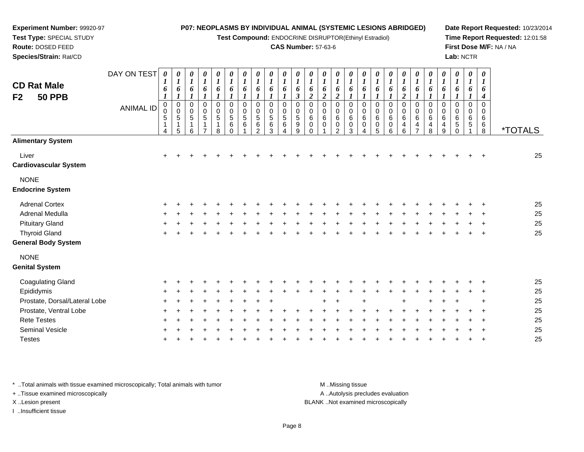**Test Compound:** ENDOCRINE DISRUPTOR(Ethinyl Estradiol)

#### **CAS Number:** 57-63-6

**Date Report Requested:** 10/23/2014**Time Report Requested:** 12:01:58**First Dose M/F:** NA / NA**Lab:** NCTR

| <b>CD Rat Male</b><br>F <sub>2</sub><br><b>50 PPB</b> | DAY ON TEST<br><b>ANIMAL ID</b> | $\boldsymbol{\theta}$<br>6<br>$\boldsymbol{l}$<br>0<br>0<br>$\mathbf 5$<br>$\mathbf{1}$<br>4 | 0<br>$\boldsymbol{l}$<br>6<br>$\boldsymbol{l}$<br>$\begin{smallmatrix}0\0\0\5\end{smallmatrix}$<br>$\mathbf{1}$<br>5 | $\boldsymbol{\theta}$<br>$\boldsymbol{l}$<br>6<br>$\boldsymbol{l}$<br>$\pmb{0}$<br>$\pmb{0}$<br>$\sqrt{5}$<br>1<br>6 | 0<br>$\boldsymbol{l}$<br>6<br>$\boldsymbol{l}$<br>0<br>$\pmb{0}$<br>$\sqrt{5}$<br>$\mathbf{1}$ | $\pmb{\theta}$<br>$\boldsymbol{l}$<br>6<br>$\mathbf{I}$<br>$\pmb{0}$<br>$\pmb{0}$<br>$\sqrt{5}$<br>1<br>8 | 0<br>$\boldsymbol{l}$<br>6<br>$\mathbf{I}$<br>$\pmb{0}$<br>$\pmb{0}$<br>$\mathbf 5$<br>6<br>$\mathbf 0$ | $\boldsymbol{\theta}$<br>$\boldsymbol{I}$<br>6<br>$\boldsymbol{l}$<br>0<br>$\pmb{0}$<br>$\sqrt{5}$<br>6 | $\boldsymbol{\theta}$<br>$\boldsymbol{l}$<br>6<br>$\boldsymbol{l}$<br>0<br>0<br>5<br>$\,6\,$<br>$\overline{2}$ | $\boldsymbol{\theta}$<br>$\boldsymbol{l}$<br>6<br>$\mathbf 0$<br>$\mathbf 0$<br>5<br>$\,6$<br>3 | $\boldsymbol{\theta}$<br>1<br>6<br>0<br>0<br>5<br>$\,6\,$<br>Δ | $\boldsymbol{\theta}$<br>$\boldsymbol{l}$<br>6<br>$\mathfrak{z}$<br>$\mathbf 0$<br>0<br>$\,$ 5 $\,$<br>$\boldsymbol{9}$<br>9 | 0<br>$\boldsymbol{l}$<br>6<br>$\boldsymbol{2}$<br>0<br>0<br>$\,6\,$<br>$\pmb{0}$<br>0 | $\pmb{\theta}$<br>$\boldsymbol{l}$<br>6<br>$\overline{2}$<br>$\mathbf 0$<br>0<br>$\,6\,$<br>$\mathbf 0$ | 0<br>$\boldsymbol{l}$<br>6<br>$\boldsymbol{2}$<br>0<br>0<br>$\,6$<br>0<br>$\overline{2}$ | $\boldsymbol{\theta}$<br>$\boldsymbol{l}$<br>6<br>$\boldsymbol{l}$<br>0<br>0<br>$\,6$<br>$\mathbf 0$<br>3 | 0<br>$\boldsymbol{l}$<br>6<br>$\boldsymbol{l}$<br>$\mathbf 0$<br>0<br>6<br>$\mathbf 0$ | $\pmb{\theta}$<br>$\boldsymbol{l}$<br>6<br>1<br>$\mathbf 0$<br>0<br>6<br>$\mathbf 0$<br>5 | 0<br>$\boldsymbol{l}$<br>6<br>$\boldsymbol{l}$<br>0<br>$\pmb{0}$<br>$\,6$<br>$\mathsf 0$<br>6 | 0<br>$\boldsymbol{l}$<br>6<br>$\overline{\mathbf{c}}$<br>0<br>$\pmb{0}$<br>$\,6$<br>4<br>6 | 0<br>$\boldsymbol{l}$<br>6<br>$\boldsymbol{l}$<br>$\pmb{0}$<br>0<br>6<br>4<br>$\overline{7}$ | 0<br>$\boldsymbol{l}$<br>6<br>1<br>0<br>$\pmb{0}$<br>$\,6$<br>4<br>8 | 0<br>$\boldsymbol{l}$<br>6<br>0<br>$\mathbf 0$<br>6<br>4<br>9 | 0<br>$\boldsymbol{l}$<br>6<br>$\boldsymbol{l}$<br>0<br>$\mathbf 0$<br>6<br>$\sqrt{5}$<br>$\mathbf 0$ | $\boldsymbol{\theta}$<br>1<br>6<br>$\mathbf 0$<br>$\Omega$<br>6<br>5 | $\boldsymbol{\theta}$<br>1<br>6<br>4<br>0<br>$\mathbf 0$<br>$\,6$<br>6<br>8 | <i><b>*TOTALS</b></i> |
|-------------------------------------------------------|---------------------------------|----------------------------------------------------------------------------------------------|----------------------------------------------------------------------------------------------------------------------|----------------------------------------------------------------------------------------------------------------------|------------------------------------------------------------------------------------------------|-----------------------------------------------------------------------------------------------------------|---------------------------------------------------------------------------------------------------------|---------------------------------------------------------------------------------------------------------|----------------------------------------------------------------------------------------------------------------|-------------------------------------------------------------------------------------------------|----------------------------------------------------------------|------------------------------------------------------------------------------------------------------------------------------|---------------------------------------------------------------------------------------|---------------------------------------------------------------------------------------------------------|------------------------------------------------------------------------------------------|-----------------------------------------------------------------------------------------------------------|----------------------------------------------------------------------------------------|-------------------------------------------------------------------------------------------|-----------------------------------------------------------------------------------------------|--------------------------------------------------------------------------------------------|----------------------------------------------------------------------------------------------|----------------------------------------------------------------------|---------------------------------------------------------------|------------------------------------------------------------------------------------------------------|----------------------------------------------------------------------|-----------------------------------------------------------------------------|-----------------------|
| <b>Alimentary System</b>                              |                                 |                                                                                              |                                                                                                                      |                                                                                                                      |                                                                                                |                                                                                                           |                                                                                                         |                                                                                                         |                                                                                                                |                                                                                                 |                                                                |                                                                                                                              |                                                                                       |                                                                                                         |                                                                                          |                                                                                                           |                                                                                        |                                                                                           |                                                                                               |                                                                                            |                                                                                              |                                                                      |                                                               |                                                                                                      |                                                                      |                                                                             |                       |
| Liver<br><b>Cardiovascular System</b>                 |                                 | $\ddot{}$                                                                                    | $\ddot{}$                                                                                                            |                                                                                                                      |                                                                                                |                                                                                                           |                                                                                                         |                                                                                                         |                                                                                                                |                                                                                                 |                                                                |                                                                                                                              |                                                                                       |                                                                                                         |                                                                                          |                                                                                                           |                                                                                        |                                                                                           |                                                                                               |                                                                                            |                                                                                              |                                                                      |                                                               |                                                                                                      |                                                                      |                                                                             | 25                    |
| <b>NONE</b><br><b>Endocrine System</b>                |                                 |                                                                                              |                                                                                                                      |                                                                                                                      |                                                                                                |                                                                                                           |                                                                                                         |                                                                                                         |                                                                                                                |                                                                                                 |                                                                |                                                                                                                              |                                                                                       |                                                                                                         |                                                                                          |                                                                                                           |                                                                                        |                                                                                           |                                                                                               |                                                                                            |                                                                                              |                                                                      |                                                               |                                                                                                      |                                                                      |                                                                             |                       |
| <b>Adrenal Cortex</b>                                 |                                 |                                                                                              |                                                                                                                      |                                                                                                                      |                                                                                                |                                                                                                           |                                                                                                         |                                                                                                         |                                                                                                                |                                                                                                 |                                                                |                                                                                                                              |                                                                                       |                                                                                                         |                                                                                          |                                                                                                           |                                                                                        |                                                                                           |                                                                                               |                                                                                            |                                                                                              |                                                                      |                                                               |                                                                                                      |                                                                      |                                                                             | 25                    |
| Adrenal Medulla                                       |                                 |                                                                                              |                                                                                                                      |                                                                                                                      |                                                                                                |                                                                                                           |                                                                                                         |                                                                                                         |                                                                                                                |                                                                                                 |                                                                |                                                                                                                              |                                                                                       |                                                                                                         |                                                                                          |                                                                                                           |                                                                                        |                                                                                           |                                                                                               |                                                                                            |                                                                                              |                                                                      |                                                               |                                                                                                      |                                                                      |                                                                             | 25                    |
| <b>Pituitary Gland</b>                                |                                 |                                                                                              |                                                                                                                      |                                                                                                                      |                                                                                                |                                                                                                           |                                                                                                         |                                                                                                         |                                                                                                                |                                                                                                 |                                                                |                                                                                                                              |                                                                                       |                                                                                                         |                                                                                          |                                                                                                           |                                                                                        |                                                                                           |                                                                                               |                                                                                            |                                                                                              |                                                                      |                                                               |                                                                                                      |                                                                      |                                                                             | 25                    |
| <b>Thyroid Gland</b>                                  |                                 |                                                                                              |                                                                                                                      |                                                                                                                      |                                                                                                |                                                                                                           |                                                                                                         |                                                                                                         |                                                                                                                |                                                                                                 |                                                                |                                                                                                                              |                                                                                       |                                                                                                         |                                                                                          |                                                                                                           |                                                                                        |                                                                                           |                                                                                               |                                                                                            |                                                                                              |                                                                      |                                                               |                                                                                                      |                                                                      |                                                                             | 25                    |
| <b>General Body System</b>                            |                                 |                                                                                              |                                                                                                                      |                                                                                                                      |                                                                                                |                                                                                                           |                                                                                                         |                                                                                                         |                                                                                                                |                                                                                                 |                                                                |                                                                                                                              |                                                                                       |                                                                                                         |                                                                                          |                                                                                                           |                                                                                        |                                                                                           |                                                                                               |                                                                                            |                                                                                              |                                                                      |                                                               |                                                                                                      |                                                                      |                                                                             |                       |
| <b>NONE</b><br><b>Genital System</b>                  |                                 |                                                                                              |                                                                                                                      |                                                                                                                      |                                                                                                |                                                                                                           |                                                                                                         |                                                                                                         |                                                                                                                |                                                                                                 |                                                                |                                                                                                                              |                                                                                       |                                                                                                         |                                                                                          |                                                                                                           |                                                                                        |                                                                                           |                                                                                               |                                                                                            |                                                                                              |                                                                      |                                                               |                                                                                                      |                                                                      |                                                                             |                       |
| <b>Coagulating Gland</b>                              |                                 |                                                                                              |                                                                                                                      |                                                                                                                      |                                                                                                |                                                                                                           |                                                                                                         |                                                                                                         |                                                                                                                |                                                                                                 |                                                                |                                                                                                                              |                                                                                       |                                                                                                         |                                                                                          |                                                                                                           |                                                                                        |                                                                                           |                                                                                               |                                                                                            |                                                                                              |                                                                      |                                                               |                                                                                                      |                                                                      |                                                                             | 25                    |
| Epididymis                                            |                                 |                                                                                              |                                                                                                                      |                                                                                                                      |                                                                                                |                                                                                                           |                                                                                                         |                                                                                                         |                                                                                                                |                                                                                                 |                                                                |                                                                                                                              |                                                                                       |                                                                                                         |                                                                                          |                                                                                                           |                                                                                        |                                                                                           |                                                                                               |                                                                                            |                                                                                              |                                                                      |                                                               |                                                                                                      |                                                                      |                                                                             | 25                    |
| Prostate, Dorsal/Lateral Lobe                         |                                 |                                                                                              |                                                                                                                      |                                                                                                                      |                                                                                                |                                                                                                           |                                                                                                         |                                                                                                         |                                                                                                                |                                                                                                 |                                                                |                                                                                                                              |                                                                                       |                                                                                                         |                                                                                          |                                                                                                           |                                                                                        |                                                                                           |                                                                                               |                                                                                            |                                                                                              |                                                                      |                                                               |                                                                                                      |                                                                      |                                                                             | 25                    |
| Prostate, Ventral Lobe                                |                                 |                                                                                              |                                                                                                                      |                                                                                                                      |                                                                                                |                                                                                                           |                                                                                                         |                                                                                                         |                                                                                                                |                                                                                                 |                                                                |                                                                                                                              |                                                                                       |                                                                                                         |                                                                                          |                                                                                                           |                                                                                        |                                                                                           |                                                                                               |                                                                                            |                                                                                              |                                                                      |                                                               |                                                                                                      |                                                                      |                                                                             | 25                    |
| <b>Rete Testes</b>                                    |                                 |                                                                                              |                                                                                                                      |                                                                                                                      |                                                                                                |                                                                                                           |                                                                                                         |                                                                                                         |                                                                                                                |                                                                                                 |                                                                |                                                                                                                              |                                                                                       |                                                                                                         |                                                                                          |                                                                                                           |                                                                                        |                                                                                           |                                                                                               |                                                                                            |                                                                                              |                                                                      |                                                               |                                                                                                      |                                                                      |                                                                             | 25                    |
| <b>Seminal Vesicle</b>                                |                                 |                                                                                              |                                                                                                                      |                                                                                                                      |                                                                                                |                                                                                                           |                                                                                                         |                                                                                                         |                                                                                                                |                                                                                                 |                                                                |                                                                                                                              |                                                                                       |                                                                                                         |                                                                                          |                                                                                                           |                                                                                        |                                                                                           |                                                                                               |                                                                                            |                                                                                              |                                                                      |                                                               |                                                                                                      |                                                                      |                                                                             | 25                    |
| <b>Testes</b>                                         |                                 |                                                                                              |                                                                                                                      |                                                                                                                      |                                                                                                |                                                                                                           |                                                                                                         |                                                                                                         |                                                                                                                |                                                                                                 |                                                                |                                                                                                                              |                                                                                       |                                                                                                         |                                                                                          |                                                                                                           |                                                                                        |                                                                                           |                                                                                               |                                                                                            |                                                                                              |                                                                      |                                                               |                                                                                                      |                                                                      |                                                                             | 25                    |

\* ..Total animals with tissue examined microscopically; Total animals with tumor **M** . Missing tissue M ..Missing tissue

+ ..Tissue examined microscopically

**Experiment Number:** 99920-97**Test Type:** SPECIAL STUDY**Route:** DOSED FEED**Species/Strain:** Rat/CD

I ..Insufficient tissue

A ..Autolysis precludes evaluation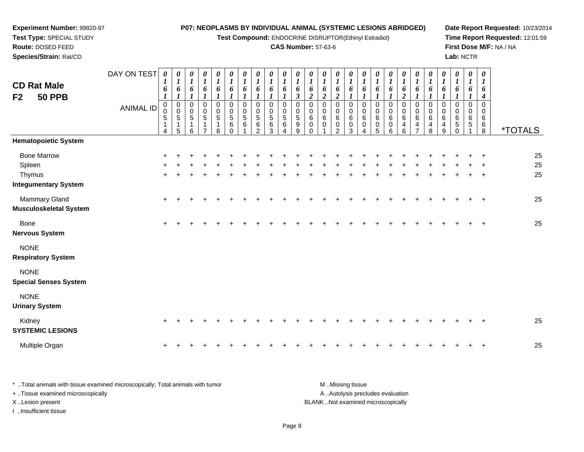**Test Compound:** ENDOCRINE DISRUPTOR(Ethinyl Estradiol)

# **CAS Number:** 57-63-6

**Date Report Requested:** 10/23/2014 **Time Report Requested:** 12:01:59**First Dose M/F:** NA / NA**Lab:** NCTR

| <b>CD Rat Male</b><br>F2<br><b>50 PPB</b>                             | DAY ON TEST<br><b>ANIMAL ID</b> | $\boldsymbol{\theta}$<br>1<br>6<br>$\boldsymbol{l}$<br>$\mathbf 0$<br>0<br>$\mathbf 5$<br>$\mathbf{1}$<br>4 | 0<br>$\boldsymbol{l}$<br>6<br>$\boldsymbol{l}$<br>$\mathbf 0$<br>$\begin{array}{c} 0 \\ 5 \end{array}$<br>$\mathbf 1$<br>5 | $\frac{\theta}{I}$<br>6<br>$\boldsymbol{l}$<br>0<br>$\mathbf 0$<br>$\sqrt{5}$<br>1<br>6 | $\begin{matrix} 0 \\ 1 \end{matrix}$<br>6<br>$\boldsymbol{l}$<br>0<br>$\pmb{0}$<br>$\sqrt{5}$<br>$\mathbf 1$<br>$\overline{7}$ | $\boldsymbol{\theta}$<br>$\boldsymbol{l}$<br>6<br>1<br>$\pmb{0}$<br>$\pmb{0}$<br>5<br>$\mathbf{1}$<br>8 | $\begin{matrix} 0 \\ 1 \end{matrix}$<br>6<br>$\boldsymbol{l}$<br>$\pmb{0}$<br>$\mathbf 0$<br>$\begin{array}{c} 5 \\ 6 \end{array}$<br>$\mathbf 0$ | $\boldsymbol{\theta}$<br>$\boldsymbol{l}$<br>6<br>$\boldsymbol{l}$<br>0<br>0<br>5<br>6 | $\frac{\boldsymbol{\theta}}{\boldsymbol{I}}$<br>6<br>$\boldsymbol{l}$<br>0<br>0<br>5<br>6<br>$\overline{2}$ | 0<br>$\boldsymbol{l}$<br>6<br>$\mathbf 0$<br>0<br>$\overline{5}$<br>6<br>3 | 0<br>$\boldsymbol{l}$<br>6<br>0<br>0<br>$\begin{array}{c} 5 \\ 6 \end{array}$<br>4 | 0<br>$\boldsymbol{l}$<br>6<br>$\mathfrak{z}$<br>0<br>0<br>$\sqrt{5}$<br>9<br>9 | 0<br>$\boldsymbol{l}$<br>6<br>$\overline{c}$<br>0<br>0<br>6<br>0<br>0 | 0<br>$\boldsymbol{l}$<br>6<br>$\boldsymbol{2}$<br>$\mathbf 0$<br>0<br>6<br>$\mathbf 0$ | 0<br>$\boldsymbol{l}$<br>6<br>$\boldsymbol{2}$<br>0<br>0<br>6<br>0<br>$\overline{c}$ | 0<br>$\boldsymbol{l}$<br>6<br>$\boldsymbol{I}$<br>$\mathbf 0$<br>0<br>6<br>0<br>3 | 0<br>$\boldsymbol{l}$<br>6<br>$\boldsymbol{l}$<br>0<br>0<br>6<br>0<br>4 | 0<br>1<br>6<br>1<br>$\mathbf 0$<br>0<br>6<br>0<br>5 | 0<br>$\boldsymbol{l}$<br>6<br>0<br>0<br>6<br>0<br>6 | 0<br>$\boldsymbol{l}$<br>6<br>$\overline{\mathbf{c}}$<br>$\boldsymbol{0}$<br>0<br>6<br>4<br>6 | 0<br>$\boldsymbol{l}$<br>6<br>0<br>0<br>6<br>4<br>$\overline{7}$ | 0<br>$\boldsymbol{l}$<br>6<br>$\mathbf 0$<br>0<br>6<br>4<br>8 | 0<br>$\boldsymbol{l}$<br>6<br>0<br>$\Omega$<br>6<br>4<br>9 | 0<br>$\boldsymbol{l}$<br>6<br>1<br>0<br>0<br>6<br>$^5_{0}$ | $\boldsymbol{\theta}$<br>$\boldsymbol{l}$<br>6<br>1<br>0<br>0<br>6<br>5 | $\boldsymbol{\theta}$<br>6<br>4<br>$\mathbf 0$<br>0<br>6<br>6<br>$\overline{8}$ | <i><b>*TOTALS</b></i> |
|-----------------------------------------------------------------------|---------------------------------|-------------------------------------------------------------------------------------------------------------|----------------------------------------------------------------------------------------------------------------------------|-----------------------------------------------------------------------------------------|--------------------------------------------------------------------------------------------------------------------------------|---------------------------------------------------------------------------------------------------------|---------------------------------------------------------------------------------------------------------------------------------------------------|----------------------------------------------------------------------------------------|-------------------------------------------------------------------------------------------------------------|----------------------------------------------------------------------------|------------------------------------------------------------------------------------|--------------------------------------------------------------------------------|-----------------------------------------------------------------------|----------------------------------------------------------------------------------------|--------------------------------------------------------------------------------------|-----------------------------------------------------------------------------------|-------------------------------------------------------------------------|-----------------------------------------------------|-----------------------------------------------------|-----------------------------------------------------------------------------------------------|------------------------------------------------------------------|---------------------------------------------------------------|------------------------------------------------------------|------------------------------------------------------------|-------------------------------------------------------------------------|---------------------------------------------------------------------------------|-----------------------|
| <b>Hematopoietic System</b>                                           |                                 |                                                                                                             |                                                                                                                            |                                                                                         |                                                                                                                                |                                                                                                         |                                                                                                                                                   |                                                                                        |                                                                                                             |                                                                            |                                                                                    |                                                                                |                                                                       |                                                                                        |                                                                                      |                                                                                   |                                                                         |                                                     |                                                     |                                                                                               |                                                                  |                                                               |                                                            |                                                            |                                                                         |                                                                                 |                       |
| <b>Bone Marrow</b><br>Spleen<br>Thymus<br><b>Integumentary System</b> |                                 |                                                                                                             |                                                                                                                            |                                                                                         |                                                                                                                                |                                                                                                         |                                                                                                                                                   |                                                                                        |                                                                                                             |                                                                            |                                                                                    |                                                                                |                                                                       |                                                                                        |                                                                                      |                                                                                   |                                                                         |                                                     |                                                     |                                                                                               |                                                                  |                                                               |                                                            |                                                            |                                                                         |                                                                                 | 25<br>25<br>25        |
| Mammary Gland<br>Musculoskeletal System                               |                                 | $+$                                                                                                         | $\pm$                                                                                                                      |                                                                                         |                                                                                                                                |                                                                                                         |                                                                                                                                                   |                                                                                        |                                                                                                             |                                                                            |                                                                                    |                                                                                |                                                                       |                                                                                        |                                                                                      |                                                                                   |                                                                         |                                                     |                                                     |                                                                                               |                                                                  |                                                               |                                                            |                                                            |                                                                         | $\pm$                                                                           | 25                    |
| Bone<br>Nervous System                                                |                                 | $+$                                                                                                         | $\ddot{}$                                                                                                                  | $\ddot{}$                                                                               |                                                                                                                                |                                                                                                         |                                                                                                                                                   |                                                                                        |                                                                                                             |                                                                            |                                                                                    |                                                                                |                                                                       |                                                                                        |                                                                                      |                                                                                   |                                                                         |                                                     |                                                     |                                                                                               |                                                                  |                                                               |                                                            |                                                            |                                                                         | $\overline{+}$                                                                  | 25                    |
| <b>NONE</b><br><b>Respiratory System</b>                              |                                 |                                                                                                             |                                                                                                                            |                                                                                         |                                                                                                                                |                                                                                                         |                                                                                                                                                   |                                                                                        |                                                                                                             |                                                                            |                                                                                    |                                                                                |                                                                       |                                                                                        |                                                                                      |                                                                                   |                                                                         |                                                     |                                                     |                                                                                               |                                                                  |                                                               |                                                            |                                                            |                                                                         |                                                                                 |                       |
| <b>NONE</b><br><b>Special Senses System</b>                           |                                 |                                                                                                             |                                                                                                                            |                                                                                         |                                                                                                                                |                                                                                                         |                                                                                                                                                   |                                                                                        |                                                                                                             |                                                                            |                                                                                    |                                                                                |                                                                       |                                                                                        |                                                                                      |                                                                                   |                                                                         |                                                     |                                                     |                                                                                               |                                                                  |                                                               |                                                            |                                                            |                                                                         |                                                                                 |                       |
| <b>NONE</b><br><b>Urinary System</b>                                  |                                 |                                                                                                             |                                                                                                                            |                                                                                         |                                                                                                                                |                                                                                                         |                                                                                                                                                   |                                                                                        |                                                                                                             |                                                                            |                                                                                    |                                                                                |                                                                       |                                                                                        |                                                                                      |                                                                                   |                                                                         |                                                     |                                                     |                                                                                               |                                                                  |                                                               |                                                            |                                                            |                                                                         |                                                                                 |                       |
| Kidney<br><b>SYSTEMIC LESIONS</b>                                     |                                 | $\ddot{}$                                                                                                   |                                                                                                                            |                                                                                         |                                                                                                                                |                                                                                                         |                                                                                                                                                   |                                                                                        |                                                                                                             |                                                                            |                                                                                    |                                                                                |                                                                       |                                                                                        |                                                                                      |                                                                                   |                                                                         |                                                     |                                                     |                                                                                               |                                                                  |                                                               |                                                            |                                                            |                                                                         |                                                                                 | 25                    |
| Multiple Organ                                                        |                                 |                                                                                                             |                                                                                                                            |                                                                                         |                                                                                                                                |                                                                                                         |                                                                                                                                                   |                                                                                        |                                                                                                             |                                                                            |                                                                                    |                                                                                |                                                                       |                                                                                        |                                                                                      |                                                                                   |                                                                         |                                                     |                                                     |                                                                                               |                                                                  |                                                               |                                                            |                                                            |                                                                         |                                                                                 | 25                    |

| Total animals with tissue examined microscopically: Total animals with tumor | M Missing tissue                   |
|------------------------------------------------------------------------------|------------------------------------|
| + Tissue examined microscopically                                            | A Autolysis precludes evaluation   |
| X Lesion present                                                             | BLANK Not examined microscopically |
| …Insufficient tissue                                                         |                                    |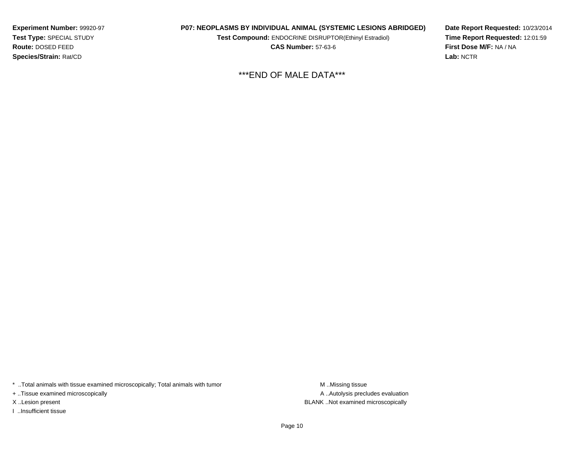**Experiment Number:** 99920-97**Test Type:** SPECIAL STUDY**Route:** DOSED FEED**Species/Strain:** Rat/CD

#### **P07: NEOPLASMS BY INDIVIDUAL ANIMAL (SYSTEMIC LESIONS ABRIDGED)**

**Test Compound:** ENDOCRINE DISRUPTOR(Ethinyl Estradiol)

**CAS Number:** 57-63-6

**Date Report Requested:** 10/23/2014**Time Report Requested:** 12:01:59**First Dose M/F:** NA / NA**Lab:** NCTR

\*\*\*END OF MALE DATA\*\*\*

\* ..Total animals with tissue examined microscopically; Total animals with tumor M..Missing tissue

+ ..Tissue examined microscopically

I ..Insufficient tissue

A ..Autolysis precludes evaluation X ..Lesion present BLANK ..Not examined microscopically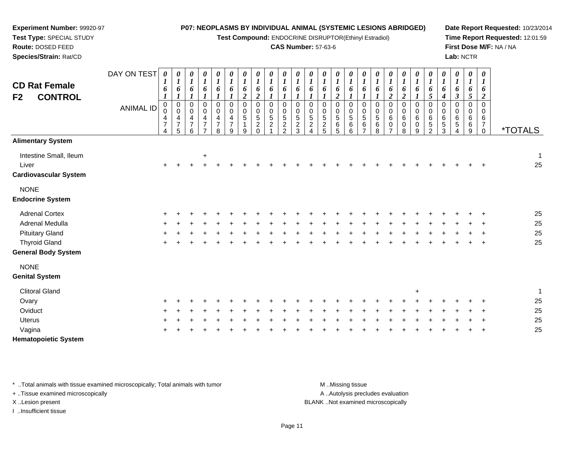| Experiment Number: 99920-97                                     |                  |                                              |                                                        |                                    |                                                      |                                                        |                                                     |                                                |                                                                    |                                                  |                                                                    | P07: NEOPLASMS BY INDIVIDUAL ANIMAL (SYSTEMIC LESIONS ABRIDGED)    |                                                               |                                                   |                                           |                                            |                                        |                                                |                                                                        |                                                |                                 |                                              |                              |                  |                                                     |                                                        | Date Report Requested: 10/23/201 |
|-----------------------------------------------------------------|------------------|----------------------------------------------|--------------------------------------------------------|------------------------------------|------------------------------------------------------|--------------------------------------------------------|-----------------------------------------------------|------------------------------------------------|--------------------------------------------------------------------|--------------------------------------------------|--------------------------------------------------------------------|--------------------------------------------------------------------|---------------------------------------------------------------|---------------------------------------------------|-------------------------------------------|--------------------------------------------|----------------------------------------|------------------------------------------------|------------------------------------------------------------------------|------------------------------------------------|---------------------------------|----------------------------------------------|------------------------------|------------------|-----------------------------------------------------|--------------------------------------------------------|----------------------------------|
| Test Type: SPECIAL STUDY                                        |                  |                                              |                                                        |                                    |                                                      |                                                        |                                                     |                                                |                                                                    |                                                  |                                                                    | Test Compound: ENDOCRINE DISRUPTOR(Ethinyl Estradiol)              |                                                               |                                                   |                                           |                                            |                                        |                                                |                                                                        |                                                |                                 |                                              |                              |                  |                                                     |                                                        | Time Report Requested: 12:01:59  |
| Route: DOSED FEED                                               |                  |                                              |                                                        |                                    |                                                      |                                                        |                                                     |                                                |                                                                    |                                                  |                                                                    | <b>CAS Number: 57-63-6</b>                                         |                                                               |                                                   |                                           |                                            |                                        |                                                |                                                                        |                                                |                                 |                                              |                              |                  |                                                     |                                                        | First Dose M/F: NA / NA          |
| Species/Strain: Rat/CD                                          |                  |                                              |                                                        |                                    |                                                      |                                                        |                                                     |                                                |                                                                    |                                                  |                                                                    |                                                                    |                                                               |                                                   |                                           |                                            |                                        |                                                |                                                                        |                                                |                                 |                                              |                              |                  | Lab: NCTR                                           |                                                        |                                  |
| <b>CD Rat Female</b><br><b>CONTROL</b><br>F <sub>2</sub>        | DAY ON TEST      | 0<br>1<br>6<br>1                             | 0<br>1<br>6                                            | 0<br>$\boldsymbol{l}$<br>6         | 0<br>$\boldsymbol{l}$<br>6                           | 0<br>$\boldsymbol{I}$<br>6<br>$\boldsymbol{l}$         | 0<br>$\boldsymbol{l}$<br>6                          | 0<br>$\boldsymbol{l}$<br>6<br>$\boldsymbol{2}$ | 0<br>$\boldsymbol{l}$<br>6<br>$\boldsymbol{2}$                     | 0<br>$\boldsymbol{l}$<br>6                       | 0<br>$\boldsymbol{l}$<br>6                                         | $\boldsymbol{\theta}$<br>$\boldsymbol{l}$<br>6<br>$\boldsymbol{l}$ | 0<br>$\boldsymbol{I}$<br>6                                    | 0<br>$\boldsymbol{l}$<br>6                        | 0<br>$\bm{l}$<br>6<br>$\boldsymbol{2}$    | 0<br>1<br>6                                | 0<br>$\boldsymbol{l}$<br>6             | 0<br>$\boldsymbol{l}$<br>6                     | 0<br>$\boldsymbol{l}$<br>6<br>$\boldsymbol{2}$                         | 0<br>$\boldsymbol{l}$<br>6<br>$\boldsymbol{2}$ | 0<br>$\boldsymbol{l}$<br>6      | 0<br>$\boldsymbol{l}$<br>6<br>5              | 0<br>6<br>4                  | 0<br>1<br>6<br>3 | 0<br>$\boldsymbol{l}$<br>6<br>$\sqrt{5}$            | 0<br>1<br>6<br>$\boldsymbol{2}$                        |                                  |
|                                                                 | <b>ANIMAL ID</b> | 0<br>0<br>4<br>$\overline{\mathcal{I}}$<br>4 | $\mathbf 0$<br>$\mathbf 0$<br>4<br>$\overline{7}$<br>5 | 0<br>0<br>4<br>$\overline{7}$<br>6 | $\mathbf 0$<br>0<br>$\overline{4}$<br>$\overline{7}$ | $\mathbf 0$<br>$\mathbf 0$<br>4<br>$\overline{7}$<br>8 | $\mathbf 0$<br>$\Omega$<br>4<br>$\overline{7}$<br>9 | $\mathbf 0$<br>0<br>5<br>1<br>9                | $\mathbf 0$<br>0<br>$\overline{5}$<br>$\boldsymbol{2}$<br>$\Omega$ | $\mathbf 0$<br>0<br>$\sqrt{5}$<br>$\overline{2}$ | $\mathbf 0$<br>0<br>$\sqrt{5}$<br>$\overline{c}$<br>$\mathfrak{p}$ | $\mathbf 0$<br>$\pmb{0}$<br>$\sqrt{5}$<br>$\boldsymbol{2}$<br>3    | $\mathbf 0$<br>$\pmb{0}$<br>$\sqrt{5}$<br>$\overline{c}$<br>4 | $\mathbf 0$<br>0<br>$\sqrt{5}$<br>$\sqrt{2}$<br>5 | $\mathbf 0$<br>$\mathbf 0$<br>5<br>6<br>5 | $\pmb{0}$<br>0<br>$\overline{5}$<br>6<br>6 | $\pmb{0}$<br>$\pmb{0}$<br>5<br>$\,6\,$ | $\pmb{0}$<br>$\pmb{0}$<br>$\sqrt{5}$<br>6<br>8 | $\mathbf 0$<br>$\mathbf 0$<br>$\,6\,$<br>$\mathbf 0$<br>$\overline{7}$ | $\Omega$<br>0<br>6<br>0<br>8                   | $\mathbf 0$<br>0<br>6<br>0<br>9 | $\mathbf 0$<br>0<br>6<br>5<br>$\mathfrak{p}$ | $\Omega$<br>0<br>6<br>5<br>3 | 0<br>0<br>6<br>5 | $\mathbf 0$<br>$\mathbf 0$<br>$\,6\,$<br>$\,6$<br>9 | $\mathbf 0$<br>0<br>6<br>$\overline{7}$<br>$\mathbf 0$ | <i><b>*TOTALS</b></i>            |
| <b>Alimentary System</b>                                        |                  |                                              |                                                        |                                    |                                                      |                                                        |                                                     |                                                |                                                                    |                                                  |                                                                    |                                                                    |                                                               |                                                   |                                           |                                            |                                        |                                                |                                                                        |                                                |                                 |                                              |                              |                  |                                                     |                                                        |                                  |
| Intestine Small, Ileum<br>Liver<br><b>Cardiovascular System</b> |                  |                                              |                                                        |                                    | $\ddot{}$                                            |                                                        |                                                     |                                                |                                                                    |                                                  |                                                                    |                                                                    |                                                               |                                                   |                                           |                                            |                                        |                                                |                                                                        |                                                |                                 |                                              |                              |                  |                                                     |                                                        | 25                               |
| <b>NONE</b>                                                     |                  |                                              |                                                        |                                    |                                                      |                                                        |                                                     |                                                |                                                                    |                                                  |                                                                    |                                                                    |                                                               |                                                   |                                           |                                            |                                        |                                                |                                                                        |                                                |                                 |                                              |                              |                  |                                                     |                                                        |                                  |
| <b>Endocrine System</b>                                         |                  |                                              |                                                        |                                    |                                                      |                                                        |                                                     |                                                |                                                                    |                                                  |                                                                    |                                                                    |                                                               |                                                   |                                           |                                            |                                        |                                                |                                                                        |                                                |                                 |                                              |                              |                  |                                                     |                                                        |                                  |
| <b>Adrenal Cortex</b>                                           |                  |                                              |                                                        |                                    |                                                      |                                                        |                                                     |                                                |                                                                    |                                                  |                                                                    |                                                                    |                                                               |                                                   |                                           |                                            |                                        |                                                |                                                                        |                                                |                                 |                                              |                              |                  |                                                     |                                                        | 25                               |
| Adrenal Medulla                                                 |                  |                                              |                                                        |                                    |                                                      |                                                        |                                                     |                                                |                                                                    |                                                  |                                                                    |                                                                    |                                                               |                                                   |                                           |                                            |                                        |                                                |                                                                        |                                                |                                 |                                              |                              |                  |                                                     |                                                        | 25                               |
| <b>Pituitary Gland</b>                                          |                  |                                              |                                                        |                                    |                                                      |                                                        |                                                     |                                                |                                                                    |                                                  |                                                                    |                                                                    |                                                               |                                                   |                                           |                                            |                                        |                                                |                                                                        |                                                |                                 |                                              |                              |                  |                                                     |                                                        | 25                               |
| <b>Thyroid Gland</b><br><b>General Body System</b>              |                  |                                              |                                                        |                                    |                                                      |                                                        |                                                     |                                                |                                                                    |                                                  |                                                                    |                                                                    |                                                               |                                                   |                                           |                                            |                                        |                                                |                                                                        |                                                |                                 |                                              |                              |                  |                                                     | $\ddot{}$                                              | 25                               |
| <b>NONE</b>                                                     |                  |                                              |                                                        |                                    |                                                      |                                                        |                                                     |                                                |                                                                    |                                                  |                                                                    |                                                                    |                                                               |                                                   |                                           |                                            |                                        |                                                |                                                                        |                                                |                                 |                                              |                              |                  |                                                     |                                                        |                                  |
| <b>Genital System</b>                                           |                  |                                              |                                                        |                                    |                                                      |                                                        |                                                     |                                                |                                                                    |                                                  |                                                                    |                                                                    |                                                               |                                                   |                                           |                                            |                                        |                                                |                                                                        |                                                |                                 |                                              |                              |                  |                                                     |                                                        |                                  |
| <b>Clitoral Gland</b>                                           |                  |                                              |                                                        |                                    |                                                      |                                                        |                                                     |                                                |                                                                    |                                                  |                                                                    |                                                                    |                                                               |                                                   |                                           |                                            |                                        |                                                |                                                                        |                                                | $\ddot{}$                       |                                              |                              |                  |                                                     |                                                        | $\overline{1}$                   |
| Ovary                                                           |                  |                                              |                                                        |                                    |                                                      |                                                        |                                                     |                                                |                                                                    |                                                  |                                                                    |                                                                    |                                                               |                                                   |                                           |                                            |                                        |                                                |                                                                        |                                                |                                 |                                              |                              |                  |                                                     |                                                        | 25                               |
| Oviduct                                                         |                  |                                              |                                                        |                                    |                                                      |                                                        |                                                     |                                                |                                                                    |                                                  |                                                                    |                                                                    |                                                               |                                                   |                                           |                                            |                                        |                                                |                                                                        |                                                |                                 |                                              |                              |                  |                                                     |                                                        | 25                               |
| Uterus                                                          |                  |                                              |                                                        |                                    |                                                      |                                                        |                                                     |                                                |                                                                    |                                                  |                                                                    |                                                                    |                                                               |                                                   |                                           |                                            |                                        |                                                |                                                                        |                                                |                                 |                                              |                              |                  |                                                     |                                                        | 25                               |
| Vagina                                                          |                  |                                              |                                                        |                                    |                                                      |                                                        |                                                     |                                                |                                                                    |                                                  |                                                                    |                                                                    |                                                               |                                                   |                                           |                                            |                                        |                                                |                                                                        |                                                |                                 |                                              |                              |                  |                                                     |                                                        | 25                               |

**Hematopoietic System**

\* ..Total animals with tissue examined microscopically; Total animals with tumor M..Missing tissue M ..Missing tissue

+ ..Tissue examined microscopically

I ..Insufficient tissue

A ..Autolysis precludes evaluation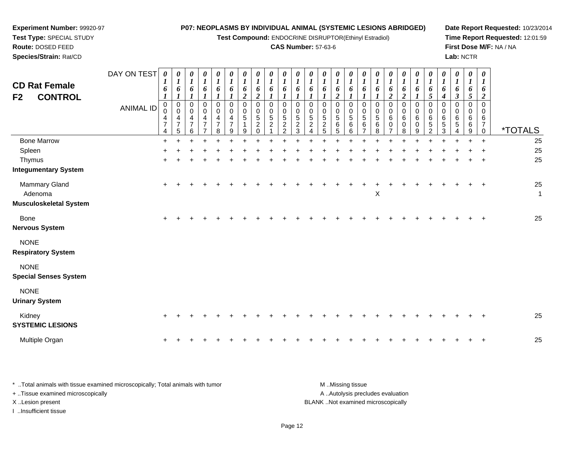**Test Compound:** ENDOCRINE DISRUPTOR(Ethinyl Estradiol)

#### **CAS Number:** 57-63-6

**Date Report Requested:** 10/23/2014**Time Report Requested:** 12:01:59**First Dose M/F:** NA / NA**Lab:** NCTR

| <b>CD Rat Female</b><br>F2<br><b>CONTROL</b> | DAY ON TEST<br><b>ANIMAL ID</b> | $\boldsymbol{\theta}$<br>6<br>$\boldsymbol{l}$<br>$\pmb{0}$<br>0<br>4<br>$\overline{7}$<br>4 | 0<br>$\boldsymbol{l}$<br>6<br>$\mathbf{I}$<br>$\begin{smallmatrix}0\\0\end{smallmatrix}$<br>$\overline{\mathbf{4}}$<br>$\overline{7}$<br>5 | $\boldsymbol{\theta}$<br>$\boldsymbol{l}$<br>6<br>0<br>$\mathsf 0$<br>$\overline{4}$<br>$\overline{7}$<br>6 | 0<br>$\boldsymbol{l}$<br>6<br>$\pmb{0}$<br>$\pmb{0}$<br>$\overline{4}$<br>$\overline{7}$<br>$\overline{7}$ | $\boldsymbol{\theta}$<br>$\boldsymbol{l}$<br>6<br>$\boldsymbol{l}$<br>$\pmb{0}$<br>$\pmb{0}$<br>$\overline{\mathbf{4}}$<br>$\overline{7}$<br>8 | $\boldsymbol{\theta}$<br>$\boldsymbol{l}$<br>6<br>$\mathbf{I}$<br>$\pmb{0}$<br>$\mathbf 0$<br>$\overline{\mathbf{4}}$<br>$\overline{7}$<br>9 | $\boldsymbol{\theta}$<br>$\boldsymbol{l}$<br>6<br>$\overline{2}$<br>$\mathbf 0$<br>$\Omega$<br>5<br>$\mathbf{1}$<br>9 | 0<br>$\boldsymbol{l}$<br>6<br>$\boldsymbol{2}$<br>$\mathbf 0$<br>0<br>5<br>$\overline{c}$<br>$\Omega$ | $\boldsymbol{\theta}$<br>6<br>$\mathbf 0$<br>$\Omega$<br>5<br>$\overline{2}$ | $\boldsymbol{\theta}$<br>6<br>$\Omega$<br>$\Omega$<br>$\sqrt{5}$<br>$\overline{c}$<br>$\mathfrak{p}$ | 0<br>$\boldsymbol{l}$<br>6<br>$\Omega$<br>$\Omega$<br>$\sqrt{5}$<br>$\boldsymbol{2}$<br>$\overline{3}$ | 0<br>$\boldsymbol{l}$<br>6<br>0<br>0<br>$\sqrt{5}$<br>$\overline{2}$<br>$\boldsymbol{\Lambda}$ | 0<br>$\boldsymbol{l}$<br>6<br>$\mathbf 0$<br>$\mathbf 0$<br>$\sqrt{5}$<br>$\overline{2}$<br>5 | 0<br>1<br>6<br>$\boldsymbol{2}$<br>$\mathbf 0$<br>0<br>5<br>6<br>5 | 0<br>$\boldsymbol{l}$<br>6<br>$\mathbf 0$<br>0<br>5<br>6<br>6 | 0<br>$\boldsymbol{l}$<br>6<br>$\mathbf 0$<br>0<br>5<br>6<br>$\overline{7}$ | 0<br>$\boldsymbol{l}$<br>6<br>$\mathbf 0$<br>$\mathbf 0$<br>5<br>6<br>8 | 0<br>1<br>6<br>$\overline{\mathbf{c}}$<br>0<br>$\mathbf 0$<br>6<br>0<br>$\overline{ }$ | 0<br>1<br>6<br>$\overline{\mathbf{c}}$<br>$\mathsf{O}$<br>$\pmb{0}$<br>6<br>$\pmb{0}$<br>8 | 0<br>$\boldsymbol{l}$<br>6<br>1<br>$\pmb{0}$<br>$\mathbf 0$<br>6<br>$\mathbf 0$<br>9 | 0<br>$\boldsymbol{l}$<br>6<br>$\mathfrak{s}$<br>$\pmb{0}$<br>$\mathbf 0$<br>$\,6$<br>5<br>$\overline{2}$ | 0<br>$\boldsymbol{l}$<br>6<br>$\boldsymbol{4}$<br>$\mathbf 0$<br>$\Omega$<br>6<br>5<br>3 | 0<br>$\boldsymbol{l}$<br>6<br>$\boldsymbol{\beta}$<br>$\mathbf 0$<br>$\Omega$<br>6<br>5<br>4 | 0<br>$\boldsymbol{l}$<br>6<br>5<br>$\Omega$<br>$\Omega$<br>6<br>6<br>9 | $\boldsymbol{\theta}$<br>6<br>$\overline{\mathbf{2}}$<br>$\mathbf 0$<br>$\Omega$<br>6<br>$\overline{7}$<br>$\mathbf 0$ | <i><b>*TOTALS</b></i> |
|----------------------------------------------|---------------------------------|----------------------------------------------------------------------------------------------|--------------------------------------------------------------------------------------------------------------------------------------------|-------------------------------------------------------------------------------------------------------------|------------------------------------------------------------------------------------------------------------|------------------------------------------------------------------------------------------------------------------------------------------------|----------------------------------------------------------------------------------------------------------------------------------------------|-----------------------------------------------------------------------------------------------------------------------|-------------------------------------------------------------------------------------------------------|------------------------------------------------------------------------------|------------------------------------------------------------------------------------------------------|--------------------------------------------------------------------------------------------------------|------------------------------------------------------------------------------------------------|-----------------------------------------------------------------------------------------------|--------------------------------------------------------------------|---------------------------------------------------------------|----------------------------------------------------------------------------|-------------------------------------------------------------------------|----------------------------------------------------------------------------------------|--------------------------------------------------------------------------------------------|--------------------------------------------------------------------------------------|----------------------------------------------------------------------------------------------------------|------------------------------------------------------------------------------------------|----------------------------------------------------------------------------------------------|------------------------------------------------------------------------|------------------------------------------------------------------------------------------------------------------------|-----------------------|
| <b>Bone Marrow</b>                           |                                 | $\ddot{}$                                                                                    |                                                                                                                                            |                                                                                                             |                                                                                                            |                                                                                                                                                |                                                                                                                                              |                                                                                                                       |                                                                                                       |                                                                              |                                                                                                      |                                                                                                        |                                                                                                |                                                                                               |                                                                    |                                                               |                                                                            |                                                                         |                                                                                        |                                                                                            |                                                                                      |                                                                                                          |                                                                                          |                                                                                              |                                                                        | $\ddot{}$                                                                                                              | 25                    |
| Spleen                                       |                                 |                                                                                              |                                                                                                                                            |                                                                                                             |                                                                                                            |                                                                                                                                                |                                                                                                                                              |                                                                                                                       |                                                                                                       |                                                                              |                                                                                                      |                                                                                                        |                                                                                                |                                                                                               |                                                                    |                                                               |                                                                            |                                                                         |                                                                                        |                                                                                            |                                                                                      |                                                                                                          |                                                                                          |                                                                                              |                                                                        |                                                                                                                        | 25                    |
| Thymus<br><b>Integumentary System</b>        |                                 |                                                                                              |                                                                                                                                            |                                                                                                             |                                                                                                            |                                                                                                                                                |                                                                                                                                              |                                                                                                                       |                                                                                                       |                                                                              |                                                                                                      |                                                                                                        |                                                                                                |                                                                                               |                                                                    |                                                               |                                                                            |                                                                         |                                                                                        |                                                                                            |                                                                                      |                                                                                                          |                                                                                          |                                                                                              |                                                                        |                                                                                                                        | 25                    |
| Mammary Gland                                |                                 | $\ddot{}$                                                                                    |                                                                                                                                            |                                                                                                             |                                                                                                            |                                                                                                                                                |                                                                                                                                              |                                                                                                                       |                                                                                                       |                                                                              |                                                                                                      |                                                                                                        |                                                                                                |                                                                                               |                                                                    |                                                               |                                                                            |                                                                         |                                                                                        |                                                                                            |                                                                                      |                                                                                                          |                                                                                          |                                                                                              |                                                                        |                                                                                                                        | 25                    |
| Adenoma                                      |                                 |                                                                                              |                                                                                                                                            |                                                                                                             |                                                                                                            |                                                                                                                                                |                                                                                                                                              |                                                                                                                       |                                                                                                       |                                                                              |                                                                                                      |                                                                                                        |                                                                                                |                                                                                               |                                                                    |                                                               |                                                                            | X                                                                       |                                                                                        |                                                                                            |                                                                                      |                                                                                                          |                                                                                          |                                                                                              |                                                                        |                                                                                                                        | $\mathbf{1}$          |
| Musculoskeletal System                       |                                 |                                                                                              |                                                                                                                                            |                                                                                                             |                                                                                                            |                                                                                                                                                |                                                                                                                                              |                                                                                                                       |                                                                                                       |                                                                              |                                                                                                      |                                                                                                        |                                                                                                |                                                                                               |                                                                    |                                                               |                                                                            |                                                                         |                                                                                        |                                                                                            |                                                                                      |                                                                                                          |                                                                                          |                                                                                              |                                                                        |                                                                                                                        |                       |
| Bone                                         |                                 | $\ddot{}$                                                                                    |                                                                                                                                            |                                                                                                             |                                                                                                            |                                                                                                                                                |                                                                                                                                              |                                                                                                                       |                                                                                                       |                                                                              |                                                                                                      |                                                                                                        |                                                                                                |                                                                                               |                                                                    |                                                               |                                                                            |                                                                         |                                                                                        |                                                                                            |                                                                                      |                                                                                                          |                                                                                          |                                                                                              |                                                                        |                                                                                                                        | 25                    |
| Nervous System                               |                                 |                                                                                              |                                                                                                                                            |                                                                                                             |                                                                                                            |                                                                                                                                                |                                                                                                                                              |                                                                                                                       |                                                                                                       |                                                                              |                                                                                                      |                                                                                                        |                                                                                                |                                                                                               |                                                                    |                                                               |                                                                            |                                                                         |                                                                                        |                                                                                            |                                                                                      |                                                                                                          |                                                                                          |                                                                                              |                                                                        |                                                                                                                        |                       |
| <b>NONE</b>                                  |                                 |                                                                                              |                                                                                                                                            |                                                                                                             |                                                                                                            |                                                                                                                                                |                                                                                                                                              |                                                                                                                       |                                                                                                       |                                                                              |                                                                                                      |                                                                                                        |                                                                                                |                                                                                               |                                                                    |                                                               |                                                                            |                                                                         |                                                                                        |                                                                                            |                                                                                      |                                                                                                          |                                                                                          |                                                                                              |                                                                        |                                                                                                                        |                       |
| <b>Respiratory System</b>                    |                                 |                                                                                              |                                                                                                                                            |                                                                                                             |                                                                                                            |                                                                                                                                                |                                                                                                                                              |                                                                                                                       |                                                                                                       |                                                                              |                                                                                                      |                                                                                                        |                                                                                                |                                                                                               |                                                                    |                                                               |                                                                            |                                                                         |                                                                                        |                                                                                            |                                                                                      |                                                                                                          |                                                                                          |                                                                                              |                                                                        |                                                                                                                        |                       |
| <b>NONE</b>                                  |                                 |                                                                                              |                                                                                                                                            |                                                                                                             |                                                                                                            |                                                                                                                                                |                                                                                                                                              |                                                                                                                       |                                                                                                       |                                                                              |                                                                                                      |                                                                                                        |                                                                                                |                                                                                               |                                                                    |                                                               |                                                                            |                                                                         |                                                                                        |                                                                                            |                                                                                      |                                                                                                          |                                                                                          |                                                                                              |                                                                        |                                                                                                                        |                       |
| <b>Special Senses System</b>                 |                                 |                                                                                              |                                                                                                                                            |                                                                                                             |                                                                                                            |                                                                                                                                                |                                                                                                                                              |                                                                                                                       |                                                                                                       |                                                                              |                                                                                                      |                                                                                                        |                                                                                                |                                                                                               |                                                                    |                                                               |                                                                            |                                                                         |                                                                                        |                                                                                            |                                                                                      |                                                                                                          |                                                                                          |                                                                                              |                                                                        |                                                                                                                        |                       |
| <b>NONE</b>                                  |                                 |                                                                                              |                                                                                                                                            |                                                                                                             |                                                                                                            |                                                                                                                                                |                                                                                                                                              |                                                                                                                       |                                                                                                       |                                                                              |                                                                                                      |                                                                                                        |                                                                                                |                                                                                               |                                                                    |                                                               |                                                                            |                                                                         |                                                                                        |                                                                                            |                                                                                      |                                                                                                          |                                                                                          |                                                                                              |                                                                        |                                                                                                                        |                       |
| <b>Urinary System</b>                        |                                 |                                                                                              |                                                                                                                                            |                                                                                                             |                                                                                                            |                                                                                                                                                |                                                                                                                                              |                                                                                                                       |                                                                                                       |                                                                              |                                                                                                      |                                                                                                        |                                                                                                |                                                                                               |                                                                    |                                                               |                                                                            |                                                                         |                                                                                        |                                                                                            |                                                                                      |                                                                                                          |                                                                                          |                                                                                              |                                                                        |                                                                                                                        |                       |
| Kidney<br><b>SYSTEMIC LESIONS</b>            |                                 |                                                                                              |                                                                                                                                            |                                                                                                             |                                                                                                            |                                                                                                                                                |                                                                                                                                              |                                                                                                                       |                                                                                                       |                                                                              |                                                                                                      |                                                                                                        |                                                                                                |                                                                                               |                                                                    |                                                               |                                                                            |                                                                         |                                                                                        |                                                                                            |                                                                                      |                                                                                                          |                                                                                          |                                                                                              |                                                                        |                                                                                                                        | 25                    |
|                                              |                                 |                                                                                              |                                                                                                                                            |                                                                                                             |                                                                                                            |                                                                                                                                                |                                                                                                                                              |                                                                                                                       |                                                                                                       |                                                                              |                                                                                                      |                                                                                                        |                                                                                                |                                                                                               |                                                                    |                                                               |                                                                            |                                                                         |                                                                                        |                                                                                            |                                                                                      |                                                                                                          |                                                                                          |                                                                                              |                                                                        |                                                                                                                        |                       |
| Multiple Organ                               |                                 | +                                                                                            |                                                                                                                                            |                                                                                                             |                                                                                                            |                                                                                                                                                |                                                                                                                                              |                                                                                                                       |                                                                                                       |                                                                              |                                                                                                      |                                                                                                        |                                                                                                |                                                                                               |                                                                    |                                                               |                                                                            |                                                                         |                                                                                        |                                                                                            |                                                                                      |                                                                                                          |                                                                                          |                                                                                              |                                                                        |                                                                                                                        | 25                    |

\* ..Total animals with tissue examined microscopically; Total animals with tumor **M** . Missing tissue M ..Missing tissue A ..Autolysis precludes evaluation + ..Tissue examined microscopically X ..Lesion present BLANK ..Not examined microscopicallyI ..Insufficient tissue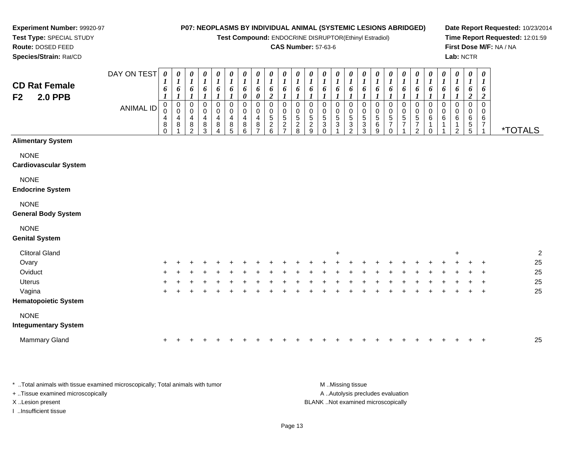**Test Compound:** ENDOCRINE DISRUPTOR(Ethinyl Estradiol)

#### **CAS Number:** 57-63-6

**Date Report Requested:** 10/23/2014**Time Report Requested:** 12:01:59**First Dose M/F:** NA / NA**Lab:** NCTR

| <b>CD Rat Female</b><br><b>2.0 PPB</b><br>F <sub>2</sub> | DAY ON TEST<br><b>ANIMAL ID</b> | 0<br>6<br>1<br>$\mathbf 0$<br>0<br>4<br>8<br>$\Omega$ | 0<br>$\bm{l}$<br>6<br>$\boldsymbol{l}$<br>$\pmb{0}$<br>$\pmb{0}$<br>4<br>8 | 0<br>$\boldsymbol{l}$<br>6<br>$\boldsymbol{l}$<br>$\boldsymbol{0}$<br>$\mathbf 0$<br>4<br>8<br>$\overline{2}$ | 0<br>$\boldsymbol{l}$<br>6<br>$\pmb{0}$<br>$\pmb{0}$<br>4<br>$\bf 8$<br>3 | 0<br>$\boldsymbol{l}$<br>6<br>0<br>$\mathbf 0$<br>4<br>8<br>Δ | 0<br>$\boldsymbol{l}$<br>6<br>$\pmb{0}$<br>$\pmb{0}$<br>4<br>$^8_5$ | 0<br>$\boldsymbol{l}$<br>6<br>0<br>$\pmb{0}$<br>0<br>4<br>8<br>6 | 0<br>$\boldsymbol{l}$<br>6<br>$\boldsymbol{\theta}$<br>$\pmb{0}$<br>$\pmb{0}$<br>$\overline{4}$<br>$\bf 8$<br>$\overline{7}$ | 0<br>$\boldsymbol{l}$<br>6<br>$\boldsymbol{2}$<br>$\mathbf 0$<br>$\mathbf 0$<br>$\sqrt{5}$<br>$\sqrt{2}$<br>6 | 0<br>$\boldsymbol{l}$<br>6<br>$\pmb{0}$<br>0<br>$\sqrt{5}$<br>$\overline{2}$<br>$\overline{ }$ | $\boldsymbol{\theta}$<br>$\boldsymbol{l}$<br>6<br>$\mathbf 0$<br>$\pmb{0}$<br>5<br>$\frac{2}{8}$ | 0<br>$\boldsymbol{l}$<br>6<br>$\pmb{0}$<br>$0$<br>$5$<br>$2$<br>$9$ | 0<br>$\boldsymbol{l}$<br>6<br>$\mathbf 0$<br>$\mathbf 0$<br>$\frac{5}{3}$<br>$\Omega$ | 0<br>$\boldsymbol{l}$<br>6<br>0<br>0<br>$\sqrt{5}$<br>$\overline{3}$ | 1<br>6<br>$\mathbf 0$<br>0<br>$\sqrt{5}$<br>3<br>$\overline{2}$ | 0<br>1<br>6<br>0<br>0<br>$5\,$<br>3<br>3 | 0<br>$\boldsymbol{l}$<br>6<br>$\mathbf 0$<br>0<br>$\sqrt{5}$<br>6<br>9 | $\boldsymbol{l}$<br>6<br>0<br>0<br>5<br>$\overline{7}$<br>$\Omega$ | 0<br>1<br>6<br>1<br>$\pmb{0}$<br>$\pmb{0}$<br>$\sqrt{5}$<br>$\overline{7}$ | 0<br>1<br>6<br>0<br>$\pmb{0}$<br>5<br>$\overline{7}$<br>2 | 0<br>$\boldsymbol{l}$<br>6<br>1<br>$\pmb{0}$<br>$\pmb{0}$<br>$\,6\,$<br>0 | 0<br>$\boldsymbol{l}$<br>6<br>$\boldsymbol{l}$<br>$\mathbf 0$<br>0<br>6<br>1 | 0<br>$\boldsymbol{l}$<br>6<br>$\mathbf 0$<br>0<br>6<br>2 | 0<br>$\boldsymbol{l}$<br>6<br>$\overline{2}$<br>$\pmb{0}$<br>$\mathbf 0$<br>6<br>$\frac{5}{5}$ | 0<br>$\bm{l}$<br>6<br>$\boldsymbol{2}$<br>$\mathbf 0$<br>$\mathbf 0$<br>6<br>$\overline{7}$ | <i><b>*TOTALS</b></i> |
|----------------------------------------------------------|---------------------------------|-------------------------------------------------------|----------------------------------------------------------------------------|---------------------------------------------------------------------------------------------------------------|---------------------------------------------------------------------------|---------------------------------------------------------------|---------------------------------------------------------------------|------------------------------------------------------------------|------------------------------------------------------------------------------------------------------------------------------|---------------------------------------------------------------------------------------------------------------|------------------------------------------------------------------------------------------------|--------------------------------------------------------------------------------------------------|---------------------------------------------------------------------|---------------------------------------------------------------------------------------|----------------------------------------------------------------------|-----------------------------------------------------------------|------------------------------------------|------------------------------------------------------------------------|--------------------------------------------------------------------|----------------------------------------------------------------------------|-----------------------------------------------------------|---------------------------------------------------------------------------|------------------------------------------------------------------------------|----------------------------------------------------------|------------------------------------------------------------------------------------------------|---------------------------------------------------------------------------------------------|-----------------------|
| <b>Alimentary System</b>                                 |                                 |                                                       |                                                                            |                                                                                                               |                                                                           |                                                               |                                                                     |                                                                  |                                                                                                                              |                                                                                                               |                                                                                                |                                                                                                  |                                                                     |                                                                                       |                                                                      |                                                                 |                                          |                                                                        |                                                                    |                                                                            |                                                           |                                                                           |                                                                              |                                                          |                                                                                                |                                                                                             |                       |
| <b>NONE</b><br><b>Cardiovascular System</b>              |                                 |                                                       |                                                                            |                                                                                                               |                                                                           |                                                               |                                                                     |                                                                  |                                                                                                                              |                                                                                                               |                                                                                                |                                                                                                  |                                                                     |                                                                                       |                                                                      |                                                                 |                                          |                                                                        |                                                                    |                                                                            |                                                           |                                                                           |                                                                              |                                                          |                                                                                                |                                                                                             |                       |
| <b>NONE</b><br><b>Endocrine System</b>                   |                                 |                                                       |                                                                            |                                                                                                               |                                                                           |                                                               |                                                                     |                                                                  |                                                                                                                              |                                                                                                               |                                                                                                |                                                                                                  |                                                                     |                                                                                       |                                                                      |                                                                 |                                          |                                                                        |                                                                    |                                                                            |                                                           |                                                                           |                                                                              |                                                          |                                                                                                |                                                                                             |                       |
| <b>NONE</b><br><b>General Body System</b>                |                                 |                                                       |                                                                            |                                                                                                               |                                                                           |                                                               |                                                                     |                                                                  |                                                                                                                              |                                                                                                               |                                                                                                |                                                                                                  |                                                                     |                                                                                       |                                                                      |                                                                 |                                          |                                                                        |                                                                    |                                                                            |                                                           |                                                                           |                                                                              |                                                          |                                                                                                |                                                                                             |                       |
| <b>NONE</b><br><b>Genital System</b>                     |                                 |                                                       |                                                                            |                                                                                                               |                                                                           |                                                               |                                                                     |                                                                  |                                                                                                                              |                                                                                                               |                                                                                                |                                                                                                  |                                                                     |                                                                                       |                                                                      |                                                                 |                                          |                                                                        |                                                                    |                                                                            |                                                           |                                                                           |                                                                              |                                                          |                                                                                                |                                                                                             |                       |
| <b>Clitoral Gland</b>                                    |                                 |                                                       |                                                                            |                                                                                                               |                                                                           |                                                               |                                                                     |                                                                  |                                                                                                                              |                                                                                                               |                                                                                                |                                                                                                  |                                                                     |                                                                                       | $\ddot{}$                                                            |                                                                 |                                          |                                                                        |                                                                    |                                                                            |                                                           |                                                                           |                                                                              | $\ddot{}$                                                |                                                                                                |                                                                                             | $\overline{c}$        |
| Ovary                                                    |                                 |                                                       |                                                                            |                                                                                                               |                                                                           |                                                               |                                                                     |                                                                  |                                                                                                                              |                                                                                                               |                                                                                                |                                                                                                  |                                                                     |                                                                                       |                                                                      |                                                                 |                                          |                                                                        |                                                                    |                                                                            |                                                           |                                                                           |                                                                              |                                                          |                                                                                                |                                                                                             | 25                    |
| Oviduct                                                  |                                 |                                                       |                                                                            |                                                                                                               |                                                                           |                                                               |                                                                     |                                                                  |                                                                                                                              |                                                                                                               |                                                                                                |                                                                                                  |                                                                     |                                                                                       |                                                                      |                                                                 |                                          |                                                                        |                                                                    |                                                                            |                                                           |                                                                           |                                                                              |                                                          |                                                                                                |                                                                                             | 25                    |
| <b>Uterus</b>                                            |                                 |                                                       |                                                                            |                                                                                                               |                                                                           |                                                               |                                                                     |                                                                  |                                                                                                                              |                                                                                                               |                                                                                                |                                                                                                  |                                                                     |                                                                                       |                                                                      |                                                                 |                                          |                                                                        |                                                                    |                                                                            |                                                           |                                                                           |                                                                              |                                                          |                                                                                                |                                                                                             | 25                    |
| Vagina                                                   |                                 |                                                       |                                                                            |                                                                                                               |                                                                           |                                                               |                                                                     |                                                                  |                                                                                                                              |                                                                                                               |                                                                                                |                                                                                                  |                                                                     |                                                                                       |                                                                      |                                                                 |                                          |                                                                        |                                                                    |                                                                            |                                                           |                                                                           |                                                                              |                                                          |                                                                                                |                                                                                             | 25                    |
| <b>Hematopoietic System</b>                              |                                 |                                                       |                                                                            |                                                                                                               |                                                                           |                                                               |                                                                     |                                                                  |                                                                                                                              |                                                                                                               |                                                                                                |                                                                                                  |                                                                     |                                                                                       |                                                                      |                                                                 |                                          |                                                                        |                                                                    |                                                                            |                                                           |                                                                           |                                                                              |                                                          |                                                                                                |                                                                                             |                       |
| <b>NONE</b>                                              |                                 |                                                       |                                                                            |                                                                                                               |                                                                           |                                                               |                                                                     |                                                                  |                                                                                                                              |                                                                                                               |                                                                                                |                                                                                                  |                                                                     |                                                                                       |                                                                      |                                                                 |                                          |                                                                        |                                                                    |                                                                            |                                                           |                                                                           |                                                                              |                                                          |                                                                                                |                                                                                             |                       |
| <b>Integumentary System</b>                              |                                 |                                                       |                                                                            |                                                                                                               |                                                                           |                                                               |                                                                     |                                                                  |                                                                                                                              |                                                                                                               |                                                                                                |                                                                                                  |                                                                     |                                                                                       |                                                                      |                                                                 |                                          |                                                                        |                                                                    |                                                                            |                                                           |                                                                           |                                                                              |                                                          |                                                                                                |                                                                                             |                       |
| Mammary Gland                                            |                                 | ٠                                                     |                                                                            |                                                                                                               |                                                                           |                                                               |                                                                     |                                                                  |                                                                                                                              |                                                                                                               |                                                                                                |                                                                                                  |                                                                     |                                                                                       |                                                                      |                                                                 |                                          |                                                                        |                                                                    |                                                                            |                                                           |                                                                           |                                                                              |                                                          |                                                                                                |                                                                                             | 25                    |

\* ..Total animals with tissue examined microscopically; Total animals with tumor **M** ...Missing tissue M ...Missing tissue A .. Autolysis precludes evaluation + ..Tissue examined microscopically X ..Lesion present BLANK ..Not examined microscopicallyI ..Insufficient tissue

**Experiment Number:** 99920-97**Test Type:** SPECIAL STUDY**Route:** DOSED FEED**Species/Strain:** Rat/CD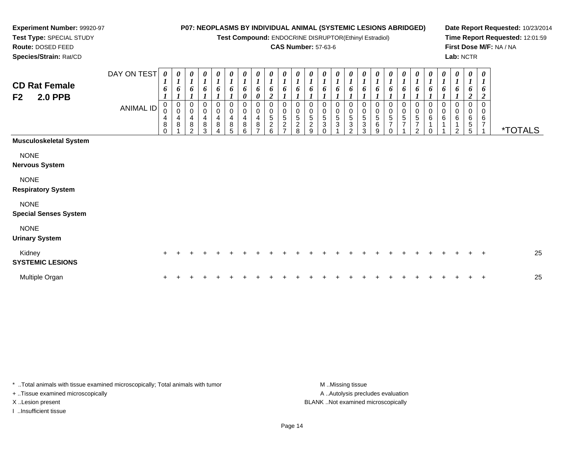**Test Compound:** ENDOCRINE DISRUPTOR(Ethinyl Estradiol)

#### **CAS Number:** 57-63-6

**Date Report Requested:** 10/23/2014**Time Report Requested:** 12:01:59**First Dose M/F:** NA / NA**Lab:** NCTR

> > 0<br>0<br>6<br>7

 $\overline{1}$ 

\*TOTALS

| <b>CD Rat Female</b>             | DAY ON TEST      | $\boldsymbol{\theta}$<br>$\mathbf{r}$<br>6 | 0<br>$\boldsymbol{l}$<br>6                                      | 0<br>$\boldsymbol{l}$<br>6                            | $\boldsymbol{\theta}$<br>$\boldsymbol{l}$<br>6 | 0<br>$\mathbf{r}$<br>6 | $\boldsymbol{\theta}$<br>$\boldsymbol{l}$<br>6 | $\boldsymbol{\theta}$<br>1<br>6 | $\boldsymbol{\theta}$<br>1<br>6 | 0<br>$\mathbf{r}$<br>$\mathbf{I}$<br>6 | $\boldsymbol{\theta}$<br>$\boldsymbol{l}$<br>6            | 0<br>$\boldsymbol{l}$<br>6    | 0<br>$\boldsymbol{l}$<br>6         | $\boldsymbol{\theta}$<br>-1<br>6 | 0<br>6                 | $\boldsymbol{\theta}$<br>6    | $\boldsymbol{\theta}$<br>$\bm{l}$<br>6 | $\boldsymbol{\theta}$<br>$\mathbf{r}$<br>6 | 0<br>$\boldsymbol{l}$<br>6                 | 0<br>1<br>6                   | 0<br>$\mathbf{I}$<br>6                           | $\theta$<br>6 | 0<br>п.<br>6                     | $\boldsymbol{\theta}$<br>o | $\boldsymbol{\theta}$<br>1<br>6 |
|----------------------------------|------------------|--------------------------------------------|-----------------------------------------------------------------|-------------------------------------------------------|------------------------------------------------|------------------------|------------------------------------------------|---------------------------------|---------------------------------|----------------------------------------|-----------------------------------------------------------|-------------------------------|------------------------------------|----------------------------------|------------------------|-------------------------------|----------------------------------------|--------------------------------------------|--------------------------------------------|-------------------------------|--------------------------------------------------|---------------|----------------------------------|----------------------------|---------------------------------|
| <b>2.0 PPB</b><br>F <sub>2</sub> |                  |                                            |                                                                 |                                                       |                                                |                        |                                                | 0                               | 0                               | $\boldsymbol{2}$                       |                                                           |                               |                                    |                                  |                        |                               |                                        |                                            |                                            |                               |                                                  |               |                                  |                            | $\boldsymbol{2}$                |
|                                  | <b>ANIMAL ID</b> | 0<br>$\mathbf 0$<br>4<br>8<br>0            | $\boldsymbol{0}$<br>$\mathbf 0$<br>$\overline{\mathbf{4}}$<br>8 | 0<br>$\mathbf 0$<br>$\overline{\mathbf{4}}$<br>8<br>2 | 0<br>$\pmb{0}$<br>4<br>8<br>3                  | 0<br>0<br>4<br>8<br>4  | 0<br>$\mathbf 0$<br>4<br>8<br>5                | 0<br>0<br>4<br>8<br>6           | 0<br>0<br>4<br>8<br>⇁           | 0<br>0<br>5<br>$\boldsymbol{2}$<br>6   | 0<br>$\mathbf 0$<br>5<br>$\overline{2}$<br>$\overline{7}$ | 0<br>5<br>$\overline{c}$<br>8 | 0<br>0<br>5<br>$\overline{c}$<br>9 | 0<br>0<br>5<br>3<br>$\Omega$     | 0<br>5<br>$\mathbf{3}$ | 0<br>5<br>3<br>$\overline{2}$ | 0<br>0<br>5<br>$\sqrt{3}$<br>3         | 0<br>0<br>5<br>6<br>9                      | 0<br>$\pmb{0}$<br>5<br>$\overline{ }$<br>0 | 0<br>0<br>5<br>$\overline{7}$ | 0<br>0<br>$5\phantom{.0}$<br>$\overline{ }$<br>2 | 0<br>0<br>6   | 0<br>$\pmb{0}$<br>$6\phantom{1}$ | 6<br>$\overline{2}$        | 0<br>0<br>6<br>5<br>5           |
| <b>Musculoskeletal System</b>    |                  |                                            |                                                                 |                                                       |                                                |                        |                                                |                                 |                                 |                                        |                                                           |                               |                                    |                                  |                        |                               |                                        |                                            |                                            |                               |                                                  |               |                                  |                            |                                 |
| <b>NONE</b>                      |                  |                                            |                                                                 |                                                       |                                                |                        |                                                |                                 |                                 |                                        |                                                           |                               |                                    |                                  |                        |                               |                                        |                                            |                                            |                               |                                                  |               |                                  |                            |                                 |
| <b>Nervous System</b>            |                  |                                            |                                                                 |                                                       |                                                |                        |                                                |                                 |                                 |                                        |                                                           |                               |                                    |                                  |                        |                               |                                        |                                            |                                            |                               |                                                  |               |                                  |                            |                                 |
| <b>NONE</b>                      |                  |                                            |                                                                 |                                                       |                                                |                        |                                                |                                 |                                 |                                        |                                                           |                               |                                    |                                  |                        |                               |                                        |                                            |                                            |                               |                                                  |               |                                  |                            |                                 |
| <b>Respiratory System</b>        |                  |                                            |                                                                 |                                                       |                                                |                        |                                                |                                 |                                 |                                        |                                                           |                               |                                    |                                  |                        |                               |                                        |                                            |                                            |                               |                                                  |               |                                  |                            |                                 |
| <b>NONE</b>                      |                  |                                            |                                                                 |                                                       |                                                |                        |                                                |                                 |                                 |                                        |                                                           |                               |                                    |                                  |                        |                               |                                        |                                            |                                            |                               |                                                  |               |                                  |                            |                                 |

NONE

#### **Urinary System**

**Special Senses System**

**Experiment Number:** 99920-97**Test Type:** SPECIAL STUDY**Route:** DOSED FEED**Species/Strain:** Rat/CD

| Kidney<br><b>SYSTEMIC LESIONS</b> |  |  |  |  |  |  |  |  |  |  |  |  |  | 25 |
|-----------------------------------|--|--|--|--|--|--|--|--|--|--|--|--|--|----|
| Multiple Organ                    |  |  |  |  |  |  |  |  |  |  |  |  |  | 25 |

\* ..Total animals with tissue examined microscopically; Total animals with tumor **M** ...Missing tissue M ...Missing tissue + ..Tissue examined microscopically

I ..Insufficient tissue

A ..Autolysis precludes evaluation X ..Lesion present BLANK ..Not examined microscopically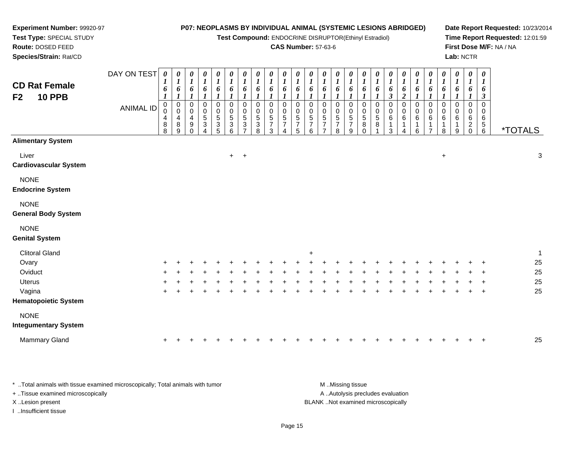**Test Compound:** ENDOCRINE DISRUPTOR(Ethinyl Estradiol)

# **CAS Number:** 57-63-6

**Date Report Requested:** 10/23/2014**Time Report Requested:** 12:01:59**First Dose M/F:** NA / NA**Lab:** NCTR

| <b>CD Rat Female</b><br><b>10 PPB</b><br>F2 | DAY ON TEST<br><b>ANIMAL ID</b> | $\boldsymbol{\theta}$<br>1<br>6<br>1<br>$\mathbf 0$<br>0<br>4<br>8 | $\boldsymbol{\theta}$<br>$\boldsymbol{l}$<br>6<br>1<br>$\mathsf 0$<br>$\pmb{0}$<br>$\begin{array}{c} 4 \\ 8 \\ 9 \end{array}$ | $\frac{\theta}{I}$<br>$\boldsymbol{6}$<br>0<br>$\mathsf 0$<br>$\overline{4}$<br>$\boldsymbol{9}$ | $\begin{matrix} 0 \\ 1 \end{matrix}$<br>6<br>$\boldsymbol{\eta}$<br>0<br>$\begin{smallmatrix}0\0\5\end{smallmatrix}$<br>3 | $\boldsymbol{\theta}$<br>$\boldsymbol{I}$<br>6<br>$\pmb{0}$<br>$\pmb{0}$<br>$\overline{5}$<br>$\ensuremath{\mathsf{3}}$ | $\frac{\theta}{I}$<br>6<br>$\pmb{0}$<br>$\mathbf 0$<br>$\,$ 5 $\,$<br>$\ensuremath{\mathsf{3}}$ | $\boldsymbol{\theta}$<br>$\boldsymbol{l}$<br>6<br>$\overline{0}$<br>$\mathbf 0$<br>$\sqrt{5}$<br>$\mathbf{3}$ | 0<br>$\boldsymbol{l}$<br>6<br>0<br>0<br>5<br>3 | $\boldsymbol{\theta}$<br>$\boldsymbol{l}$<br>6<br>$\mathbf 0$<br>0<br>$\sqrt{5}$<br>$\overline{7}$ | 0<br>$\boldsymbol{l}$<br>6<br>0<br>0<br>$\frac{5}{7}$ | 0<br>$\boldsymbol{l}$<br>6<br>0<br>$\mathbf 0$<br>$\frac{5}{7}$ | 0<br>$\boldsymbol{l}$<br>6<br>0<br>0<br>$\,$ 5 $\,$<br>$\overline{7}$ | 0<br>$\bm{l}$<br>6<br>$\mathbf 0$<br>0<br>$\sqrt{5}$<br>$\overline{7}$ | 0<br>$\boldsymbol{l}$<br>6<br>0<br>0<br>5<br>$\overline{7}$ | 0<br>$\boldsymbol{l}$<br>6<br>1<br>$\mathbf 0$<br>0<br>$\mathbf 5$<br>$\overline{7}$ | $\boldsymbol{l}$<br>6<br>1<br>0<br>0<br>5<br>8 | 0<br>$\boldsymbol{l}$<br>6<br>1<br>$\pmb{0}$<br>$\mathbf 0$<br>5<br>8 | 0<br>$\boldsymbol{l}$<br>6<br>$\boldsymbol{\beta}$<br>$\pmb{0}$<br>$\pmb{0}$<br>$\,6$ | 0<br>$\boldsymbol{l}$<br>$\pmb{6}$<br>$\overline{\mathbf{c}}$<br>$\pmb{0}$<br>$\pmb{0}$<br>6 | 0<br>$\boldsymbol{l}$<br>6<br>0<br>0<br>6<br>1 | 0<br>$\boldsymbol{l}$<br>6<br>0<br>0<br>6 | 0<br>$\boldsymbol{I}$<br>6<br>0<br>0<br>6 | 0<br>$\boldsymbol{l}$<br>6<br>1<br>0<br>0<br>6 | 0<br>$\boldsymbol{l}$<br>6<br>1<br>$\mathbf 0$<br>0<br>6<br>$\overline{\mathbf{c}}$ | $\boldsymbol{\theta}$<br>1<br>6<br>$\boldsymbol{\beta}$<br>$\pmb{0}$<br>0<br>6<br>$\begin{array}{c} 5 \\ 6 \end{array}$ |         |                           |
|---------------------------------------------|---------------------------------|--------------------------------------------------------------------|-------------------------------------------------------------------------------------------------------------------------------|--------------------------------------------------------------------------------------------------|---------------------------------------------------------------------------------------------------------------------------|-------------------------------------------------------------------------------------------------------------------------|-------------------------------------------------------------------------------------------------|---------------------------------------------------------------------------------------------------------------|------------------------------------------------|----------------------------------------------------------------------------------------------------|-------------------------------------------------------|-----------------------------------------------------------------|-----------------------------------------------------------------------|------------------------------------------------------------------------|-------------------------------------------------------------|--------------------------------------------------------------------------------------|------------------------------------------------|-----------------------------------------------------------------------|---------------------------------------------------------------------------------------|----------------------------------------------------------------------------------------------|------------------------------------------------|-------------------------------------------|-------------------------------------------|------------------------------------------------|-------------------------------------------------------------------------------------|-------------------------------------------------------------------------------------------------------------------------|---------|---------------------------|
| <b>Alimentary System</b>                    |                                 | 8                                                                  |                                                                                                                               | 0                                                                                                | 4                                                                                                                         | $\overline{5}$                                                                                                          | $\,6$                                                                                           | $\overline{ }$                                                                                                | 8                                              | 3                                                                                                  |                                                       | 5                                                               | 6                                                                     | 7                                                                      | 8                                                           | 9                                                                                    | $\mathbf 0$                                    |                                                                       | $\mathbf{3}$                                                                          | 4                                                                                            | 6                                              | $\overline{7}$                            | 8                                         | 9                                              | $\mathbf 0$                                                                         |                                                                                                                         | *TOTALS |                           |
| Liver<br>Cardiovascular System              |                                 |                                                                    |                                                                                                                               |                                                                                                  |                                                                                                                           |                                                                                                                         | $+$ $+$                                                                                         |                                                                                                               |                                                |                                                                                                    |                                                       |                                                                 |                                                                       |                                                                        |                                                             |                                                                                      |                                                |                                                                       |                                                                                       |                                                                                              |                                                |                                           | $\ddot{}$                                 |                                                |                                                                                     |                                                                                                                         |         | $\ensuremath{\mathsf{3}}$ |
| <b>NONE</b><br><b>Endocrine System</b>      |                                 |                                                                    |                                                                                                                               |                                                                                                  |                                                                                                                           |                                                                                                                         |                                                                                                 |                                                                                                               |                                                |                                                                                                    |                                                       |                                                                 |                                                                       |                                                                        |                                                             |                                                                                      |                                                |                                                                       |                                                                                       |                                                                                              |                                                |                                           |                                           |                                                |                                                                                     |                                                                                                                         |         |                           |
| <b>NONE</b><br><b>General Body System</b>   |                                 |                                                                    |                                                                                                                               |                                                                                                  |                                                                                                                           |                                                                                                                         |                                                                                                 |                                                                                                               |                                                |                                                                                                    |                                                       |                                                                 |                                                                       |                                                                        |                                                             |                                                                                      |                                                |                                                                       |                                                                                       |                                                                                              |                                                |                                           |                                           |                                                |                                                                                     |                                                                                                                         |         |                           |
| <b>NONE</b><br><b>Genital System</b>        |                                 |                                                                    |                                                                                                                               |                                                                                                  |                                                                                                                           |                                                                                                                         |                                                                                                 |                                                                                                               |                                                |                                                                                                    |                                                       |                                                                 |                                                                       |                                                                        |                                                             |                                                                                      |                                                |                                                                       |                                                                                       |                                                                                              |                                                |                                           |                                           |                                                |                                                                                     |                                                                                                                         |         |                           |
| <b>Clitoral Gland</b>                       |                                 |                                                                    |                                                                                                                               |                                                                                                  |                                                                                                                           |                                                                                                                         |                                                                                                 |                                                                                                               |                                                |                                                                                                    |                                                       |                                                                 | ÷                                                                     |                                                                        |                                                             |                                                                                      |                                                |                                                                       |                                                                                       |                                                                                              |                                                |                                           |                                           |                                                |                                                                                     |                                                                                                                         |         | $\mathbf{1}$              |
| Ovary                                       |                                 |                                                                    |                                                                                                                               |                                                                                                  |                                                                                                                           |                                                                                                                         |                                                                                                 |                                                                                                               |                                                |                                                                                                    |                                                       |                                                                 |                                                                       |                                                                        |                                                             |                                                                                      |                                                |                                                                       |                                                                                       |                                                                                              |                                                |                                           |                                           |                                                |                                                                                     |                                                                                                                         |         | 25                        |
| Oviduct                                     |                                 |                                                                    |                                                                                                                               |                                                                                                  |                                                                                                                           |                                                                                                                         |                                                                                                 |                                                                                                               |                                                |                                                                                                    |                                                       |                                                                 |                                                                       |                                                                        |                                                             |                                                                                      |                                                |                                                                       |                                                                                       |                                                                                              |                                                |                                           |                                           |                                                |                                                                                     |                                                                                                                         |         | 25                        |
| Uterus                                      |                                 |                                                                    |                                                                                                                               |                                                                                                  |                                                                                                                           |                                                                                                                         |                                                                                                 |                                                                                                               |                                                |                                                                                                    |                                                       |                                                                 |                                                                       |                                                                        |                                                             |                                                                                      |                                                |                                                                       |                                                                                       |                                                                                              |                                                |                                           |                                           |                                                |                                                                                     |                                                                                                                         |         | 25                        |
| Vagina                                      |                                 |                                                                    |                                                                                                                               |                                                                                                  |                                                                                                                           |                                                                                                                         |                                                                                                 |                                                                                                               |                                                |                                                                                                    |                                                       |                                                                 |                                                                       |                                                                        |                                                             |                                                                                      |                                                |                                                                       |                                                                                       |                                                                                              |                                                |                                           |                                           |                                                |                                                                                     |                                                                                                                         |         | 25                        |
| <b>Hematopoietic System</b>                 |                                 |                                                                    |                                                                                                                               |                                                                                                  |                                                                                                                           |                                                                                                                         |                                                                                                 |                                                                                                               |                                                |                                                                                                    |                                                       |                                                                 |                                                                       |                                                                        |                                                             |                                                                                      |                                                |                                                                       |                                                                                       |                                                                                              |                                                |                                           |                                           |                                                |                                                                                     |                                                                                                                         |         |                           |
| <b>NONE</b>                                 |                                 |                                                                    |                                                                                                                               |                                                                                                  |                                                                                                                           |                                                                                                                         |                                                                                                 |                                                                                                               |                                                |                                                                                                    |                                                       |                                                                 |                                                                       |                                                                        |                                                             |                                                                                      |                                                |                                                                       |                                                                                       |                                                                                              |                                                |                                           |                                           |                                                |                                                                                     |                                                                                                                         |         |                           |
| <b>Integumentary System</b>                 |                                 |                                                                    |                                                                                                                               |                                                                                                  |                                                                                                                           |                                                                                                                         |                                                                                                 |                                                                                                               |                                                |                                                                                                    |                                                       |                                                                 |                                                                       |                                                                        |                                                             |                                                                                      |                                                |                                                                       |                                                                                       |                                                                                              |                                                |                                           |                                           |                                                |                                                                                     |                                                                                                                         |         |                           |
| Mammary Gland                               |                                 | $\ddot{}$                                                          |                                                                                                                               |                                                                                                  |                                                                                                                           |                                                                                                                         |                                                                                                 |                                                                                                               |                                                |                                                                                                    |                                                       |                                                                 |                                                                       |                                                                        |                                                             |                                                                                      |                                                |                                                                       |                                                                                       |                                                                                              |                                                |                                           |                                           |                                                |                                                                                     |                                                                                                                         |         | 25                        |

\* ..Total animals with tissue examined microscopically; Total animals with tumor **M** . Missing tissue M ..Missing tissue A ..Autolysis precludes evaluation + ..Tissue examined microscopically X ..Lesion present BLANK ..Not examined microscopicallyI ..Insufficient tissue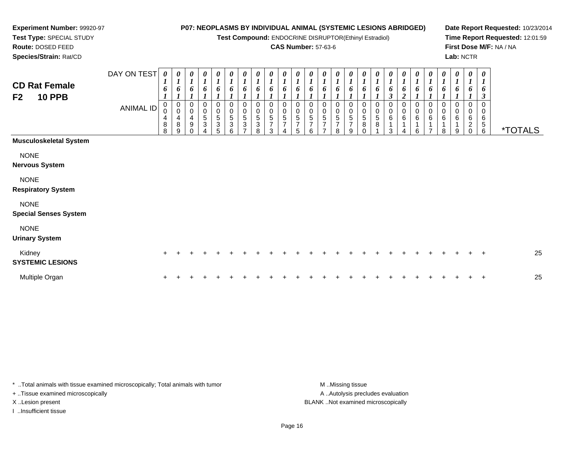**Test Compound:** ENDOCRINE DISRUPTOR(Ethinyl Estradiol)

### **CAS Number:** 57-63-6

**Date Report Requested:** 10/23/2014**Time Report Requested:** 12:01:59**First Dose M/F:** NA / NA**Lab:** NCTR

**Route:** DOSED FEED **Species/Strain:** Rat/CDDAY ON TEST*0000000000000000000000000***CD Rat Female**

| <b>CD Rat Female</b><br>F2<br><b>10 PPB</b> |                  | $\mathbf{I}$<br>6                       | $\overline{I}$<br>6                             | $\overline{I}$<br>6 | 1<br>6                            | 1<br>6                                                          | $\boldsymbol{I}$<br>6                | $\boldsymbol{I}$<br>6 | $\mathbf{I}$<br>6 | $\mathbf{I}$<br>6     | $\mathbf{I}$<br>6     | $\boldsymbol{l}$<br>6 | 6                             | $\mathbf{I}$<br>6                                    | $\overline{I}$<br>6           | $\boldsymbol{l}$<br>6         | $\frac{1}{6}$                                                  | 6                                     | $\mathbf{I}$<br>6<br>3 | 6<br><u>ีว</u>       | 6                | $\mathbf{I}$<br>6                    | $\boldsymbol{l}$<br>6 | 6                       | $\overline{I}$<br>6                           | $\mathbf{I}$<br>6<br>3                          |                       |    |
|---------------------------------------------|------------------|-----------------------------------------|-------------------------------------------------|---------------------|-----------------------------------|-----------------------------------------------------------------|--------------------------------------|-----------------------|-------------------|-----------------------|-----------------------|-----------------------|-------------------------------|------------------------------------------------------|-------------------------------|-------------------------------|----------------------------------------------------------------|---------------------------------------|------------------------|----------------------|------------------|--------------------------------------|-----------------------|-------------------------|-----------------------------------------------|-------------------------------------------------|-----------------------|----|
|                                             | <b>ANIMAL ID</b> | $\mathbf 0$<br>$\pmb{0}$<br>4<br>8<br>8 | $\mathbf 0$<br>$\mathbf 0$<br>4<br>$\bf 8$<br>9 | 0<br>0<br>4<br>9    | 0<br>$\pmb{0}$<br>$\sqrt{5}$<br>3 | 0<br>$\pmb{0}$<br>$\mathbf 5$<br>$\ensuremath{\mathsf{3}}$<br>5 | 0<br>$\,0\,$<br>$\sqrt{5}$<br>3<br>6 | 0<br>5<br>3           | 0<br>5<br>3<br>8  | 0<br>0<br>5<br>⇁<br>3 | 0<br>0<br>5<br>7<br>4 | 0<br>5<br>7<br>5      | 0<br>$\pmb{0}$<br>5<br>⇁<br>6 | $\mathbf 0$<br>5<br>$\overline{7}$<br>$\overline{ }$ | 0<br>5<br>$\overline{ }$<br>8 | $\pmb{0}$<br>$\mathbf 5$<br>9 | $\begin{smallmatrix}0\0\0\5\end{smallmatrix}$<br>8<br>$\Omega$ | $\pmb{0}$<br>$\frac{0}{5}$<br>$\bf 8$ | 0<br>6<br>3            | 0<br>0<br>$\,6$<br>4 | 0<br>0<br>6<br>6 | $\Omega$<br>0<br>6<br>$\overline{ }$ | 8                     | $\Omega$<br>0<br>6<br>9 | 0<br>0<br>$\,6$<br>$\overline{c}$<br>$\Omega$ | 0<br>6<br>$\begin{array}{c} 5 \\ 6 \end{array}$ | <i><b>*TOTALS</b></i> |    |
| Musculoskeletal System                      |                  |                                         |                                                 |                     |                                   |                                                                 |                                      |                       |                   |                       |                       |                       |                               |                                                      |                               |                               |                                                                |                                       |                        |                      |                  |                                      |                       |                         |                                               |                                                 |                       |    |
| <b>NONE</b><br>Nervous System               |                  |                                         |                                                 |                     |                                   |                                                                 |                                      |                       |                   |                       |                       |                       |                               |                                                      |                               |                               |                                                                |                                       |                        |                      |                  |                                      |                       |                         |                                               |                                                 |                       |    |
| <b>NONE</b><br><b>Respiratory System</b>    |                  |                                         |                                                 |                     |                                   |                                                                 |                                      |                       |                   |                       |                       |                       |                               |                                                      |                               |                               |                                                                |                                       |                        |                      |                  |                                      |                       |                         |                                               |                                                 |                       |    |
| <b>NONE</b><br><b>Special Senses System</b> |                  |                                         |                                                 |                     |                                   |                                                                 |                                      |                       |                   |                       |                       |                       |                               |                                                      |                               |                               |                                                                |                                       |                        |                      |                  |                                      |                       |                         |                                               |                                                 |                       |    |
| <b>NONE</b><br><b>Urinary System</b>        |                  |                                         |                                                 |                     |                                   |                                                                 |                                      |                       |                   |                       |                       |                       |                               |                                                      |                               |                               |                                                                |                                       |                        |                      |                  |                                      |                       |                         |                                               |                                                 |                       |    |
| Kidney<br><b>SYSTEMIC LESIONS</b>           |                  | $+$                                     |                                                 |                     |                                   |                                                                 |                                      |                       |                   |                       |                       |                       |                               |                                                      |                               |                               |                                                                |                                       |                        |                      |                  |                                      |                       |                         |                                               | $\ddot{}$                                       |                       | 25 |
| Multiple Organ                              |                  | $\pm$                                   |                                                 |                     |                                   |                                                                 |                                      |                       |                   |                       |                       |                       |                               |                                                      |                               |                               |                                                                |                                       |                        |                      |                  |                                      |                       |                         |                                               | $\ddot{}$                                       |                       | 25 |
|                                             |                  |                                         |                                                 |                     |                                   |                                                                 |                                      |                       |                   |                       |                       |                       |                               |                                                      |                               |                               |                                                                |                                       |                        |                      |                  |                                      |                       |                         |                                               |                                                 |                       |    |

\* ..Total animals with tissue examined microscopically; Total animals with tumor + ..Tissue examined microscopically

**Experiment Number:** 99920-97**Test Type:** SPECIAL STUDY

I ..Insufficient tissue

A .. Autolysis precludes evaluation X ..Lesion present BLANK ..Not examined microscopically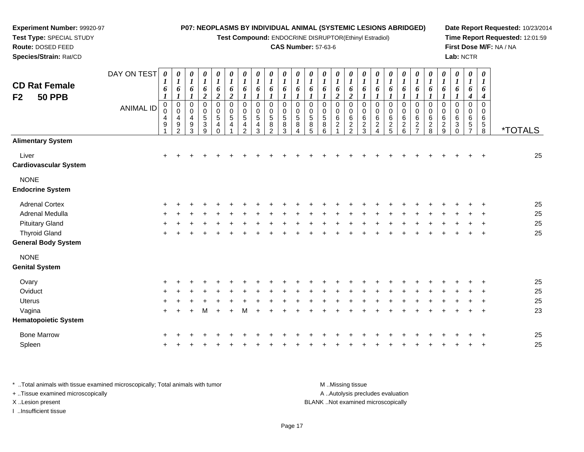**Test Compound:** ENDOCRINE DISRUPTOR(Ethinyl Estradiol)

#### **CAS Number:** 57-63-6

**Date Report Requested:** 10/23/2014**Time Report Requested:** 12:01:59**First Dose M/F:** NA / NA**Lab:** NCTR

| <b>CD Rat Female</b><br>F2<br><b>50 PPB</b> | DAY ON TEST<br><b>ANIMAL ID</b> | $\boldsymbol{\theta}$<br>6<br>$\mathbf 0$<br>0<br>4<br>9 | 0<br>$\boldsymbol{l}$<br>6<br>$\overline{0}$<br>$\mathbf 0$<br>4<br>9<br>$\mathcal{P}$ | 0<br>$\boldsymbol{l}$<br>6<br>$\pmb{0}$<br>$\pmb{0}$<br>4<br>9<br>3 | $\boldsymbol{\theta}$<br>$\boldsymbol{l}$<br>6<br>$\overline{2}$<br>0<br>0<br>$\frac{5}{3}$<br>9 | 0<br>$\boldsymbol{l}$<br>6<br>$\boldsymbol{2}$<br>$\pmb{0}$<br>0<br>$\mathbf 5$<br>$\overline{\mathbf{4}}$<br>$\Omega$ | $\boldsymbol{\theta}$<br>$\boldsymbol{I}$<br>6<br>$\boldsymbol{2}$<br>$\mathbf 0$<br>$\mathbf 0$<br>$\sqrt{5}$<br>$\overline{4}$ | 0<br>$\boldsymbol{l}$<br>6<br>$\mathbf 0$<br>$\mathbf 0$<br>5<br>$\overline{\mathbf{4}}$<br>2 | 0<br>$\boldsymbol{l}$<br>6<br>0<br>$\Omega$<br>5<br>4<br>3 | 0<br>$\boldsymbol{I}$<br>6<br>$\mathbf 0$<br>$\Omega$<br>$\sqrt{5}$<br>8<br>2 | 0<br>6<br>$\mathbf 0$<br>$\Omega$<br>5<br>8<br>3 | $\boldsymbol{\theta}$<br>6<br>$\mathbf 0$<br>$\mathbf 0$<br>$\sqrt{5}$<br>8<br>4 | $\boldsymbol{\theta}$<br>6<br>0<br>0<br>5<br>8<br>5 | 0<br>$\boldsymbol{l}$<br>6<br>0<br>0<br>$\,$ 5 $\,$<br>8<br>6 | 0<br>$\boldsymbol{l}$<br>6<br>$\boldsymbol{2}$<br>$\mathbf 0$<br>$\mathbf 0$<br>6<br>$\overline{c}$<br>1 | 0<br>$\boldsymbol{l}$<br>6<br>$\boldsymbol{2}$<br>$\mathbf 0$<br>0<br>$\,6\,$<br>$\frac{2}{2}$ | 0<br>$\boldsymbol{l}$<br>6<br>0<br>$\Omega$<br>6<br>$\frac{2}{3}$ | 0<br>$\boldsymbol{l}$<br>6<br>0<br>0<br>6<br>$\overline{c}$<br>4 | 0<br>1<br>6<br>$\mathbf 0$<br>$\Omega$<br>6<br>$\frac{2}{5}$ | 0<br>6<br>$\mathbf 0$<br>$\Omega$<br>6<br>$\frac{2}{6}$ | 0<br>6<br>0<br>$\mathbf 0$<br>6<br>$\frac{2}{7}$ | 0<br>1<br>6<br>0<br>0<br>6<br>$\frac{2}{8}$ | 0<br>$\bm{l}$<br>6<br>0<br>0<br>$\,6\,$<br>$\frac{2}{9}$ | 0<br>$\boldsymbol{l}$<br>6<br>$\mathbf 0$<br>0<br>6<br>3<br>$\Omega$ | 0<br>$\boldsymbol{I}$<br>6<br>4<br>$\mathbf 0$<br>0<br>6<br>5 | $\boldsymbol{\theta}$<br>1<br>6<br>4<br>$\Omega$<br>$\Omega$<br>6<br>$\sqrt{5}$<br>8 | <i><b>*TOTALS</b></i> |
|---------------------------------------------|---------------------------------|----------------------------------------------------------|----------------------------------------------------------------------------------------|---------------------------------------------------------------------|--------------------------------------------------------------------------------------------------|------------------------------------------------------------------------------------------------------------------------|----------------------------------------------------------------------------------------------------------------------------------|-----------------------------------------------------------------------------------------------|------------------------------------------------------------|-------------------------------------------------------------------------------|--------------------------------------------------|----------------------------------------------------------------------------------|-----------------------------------------------------|---------------------------------------------------------------|----------------------------------------------------------------------------------------------------------|------------------------------------------------------------------------------------------------|-------------------------------------------------------------------|------------------------------------------------------------------|--------------------------------------------------------------|---------------------------------------------------------|--------------------------------------------------|---------------------------------------------|----------------------------------------------------------|----------------------------------------------------------------------|---------------------------------------------------------------|--------------------------------------------------------------------------------------|-----------------------|
| <b>Alimentary System</b>                    |                                 |                                                          |                                                                                        |                                                                     |                                                                                                  |                                                                                                                        |                                                                                                                                  |                                                                                               |                                                            |                                                                               |                                                  |                                                                                  |                                                     |                                                               |                                                                                                          |                                                                                                |                                                                   |                                                                  |                                                              |                                                         |                                                  |                                             |                                                          |                                                                      |                                                               |                                                                                      |                       |
| Liver<br><b>Cardiovascular System</b>       |                                 | $\ddot{}$                                                |                                                                                        |                                                                     |                                                                                                  |                                                                                                                        |                                                                                                                                  |                                                                                               |                                                            |                                                                               |                                                  |                                                                                  |                                                     |                                                               |                                                                                                          |                                                                                                |                                                                   |                                                                  |                                                              |                                                         |                                                  |                                             |                                                          |                                                                      |                                                               |                                                                                      | 25                    |
| <b>NONE</b><br><b>Endocrine System</b>      |                                 |                                                          |                                                                                        |                                                                     |                                                                                                  |                                                                                                                        |                                                                                                                                  |                                                                                               |                                                            |                                                                               |                                                  |                                                                                  |                                                     |                                                               |                                                                                                          |                                                                                                |                                                                   |                                                                  |                                                              |                                                         |                                                  |                                             |                                                          |                                                                      |                                                               |                                                                                      |                       |
| <b>Adrenal Cortex</b>                       |                                 |                                                          |                                                                                        |                                                                     |                                                                                                  |                                                                                                                        |                                                                                                                                  |                                                                                               |                                                            |                                                                               |                                                  |                                                                                  |                                                     |                                                               |                                                                                                          |                                                                                                |                                                                   |                                                                  |                                                              |                                                         |                                                  |                                             |                                                          |                                                                      |                                                               |                                                                                      | 25                    |
| Adrenal Medulla                             |                                 |                                                          |                                                                                        |                                                                     |                                                                                                  |                                                                                                                        |                                                                                                                                  |                                                                                               |                                                            |                                                                               |                                                  |                                                                                  |                                                     |                                                               |                                                                                                          |                                                                                                |                                                                   |                                                                  |                                                              |                                                         |                                                  |                                             |                                                          |                                                                      |                                                               |                                                                                      | 25                    |
| <b>Pituitary Gland</b>                      |                                 |                                                          |                                                                                        |                                                                     |                                                                                                  |                                                                                                                        |                                                                                                                                  |                                                                                               |                                                            |                                                                               |                                                  |                                                                                  |                                                     |                                                               |                                                                                                          |                                                                                                |                                                                   |                                                                  |                                                              |                                                         |                                                  |                                             |                                                          |                                                                      |                                                               |                                                                                      | 25                    |
| <b>Thyroid Gland</b>                        |                                 | +                                                        |                                                                                        |                                                                     |                                                                                                  |                                                                                                                        |                                                                                                                                  |                                                                                               |                                                            |                                                                               |                                                  |                                                                                  |                                                     |                                                               |                                                                                                          |                                                                                                |                                                                   |                                                                  |                                                              |                                                         |                                                  |                                             |                                                          |                                                                      |                                                               | $\ddot{}$                                                                            | 25                    |
| <b>General Body System</b>                  |                                 |                                                          |                                                                                        |                                                                     |                                                                                                  |                                                                                                                        |                                                                                                                                  |                                                                                               |                                                            |                                                                               |                                                  |                                                                                  |                                                     |                                                               |                                                                                                          |                                                                                                |                                                                   |                                                                  |                                                              |                                                         |                                                  |                                             |                                                          |                                                                      |                                                               |                                                                                      |                       |
| <b>NONE</b>                                 |                                 |                                                          |                                                                                        |                                                                     |                                                                                                  |                                                                                                                        |                                                                                                                                  |                                                                                               |                                                            |                                                                               |                                                  |                                                                                  |                                                     |                                                               |                                                                                                          |                                                                                                |                                                                   |                                                                  |                                                              |                                                         |                                                  |                                             |                                                          |                                                                      |                                                               |                                                                                      |                       |
| <b>Genital System</b>                       |                                 |                                                          |                                                                                        |                                                                     |                                                                                                  |                                                                                                                        |                                                                                                                                  |                                                                                               |                                                            |                                                                               |                                                  |                                                                                  |                                                     |                                                               |                                                                                                          |                                                                                                |                                                                   |                                                                  |                                                              |                                                         |                                                  |                                             |                                                          |                                                                      |                                                               |                                                                                      |                       |
| Ovary                                       |                                 |                                                          |                                                                                        |                                                                     |                                                                                                  |                                                                                                                        |                                                                                                                                  |                                                                                               |                                                            |                                                                               |                                                  |                                                                                  |                                                     |                                                               |                                                                                                          |                                                                                                |                                                                   |                                                                  |                                                              |                                                         |                                                  |                                             |                                                          |                                                                      |                                                               |                                                                                      | 25                    |
| Oviduct                                     |                                 | ÷                                                        |                                                                                        |                                                                     |                                                                                                  |                                                                                                                        |                                                                                                                                  |                                                                                               |                                                            |                                                                               |                                                  |                                                                                  |                                                     |                                                               |                                                                                                          |                                                                                                |                                                                   |                                                                  |                                                              |                                                         |                                                  |                                             |                                                          |                                                                      |                                                               |                                                                                      | 25                    |
| <b>Uterus</b>                               |                                 |                                                          |                                                                                        |                                                                     |                                                                                                  |                                                                                                                        |                                                                                                                                  |                                                                                               |                                                            |                                                                               |                                                  |                                                                                  |                                                     |                                                               |                                                                                                          |                                                                                                |                                                                   |                                                                  |                                                              |                                                         |                                                  |                                             |                                                          |                                                                      |                                                               |                                                                                      | 25                    |
| Vagina                                      |                                 | $+$                                                      |                                                                                        | $\ddot{}$                                                           | M                                                                                                | $\ddot{}$                                                                                                              | $\ddot{}$                                                                                                                        | м                                                                                             |                                                            |                                                                               |                                                  |                                                                                  |                                                     |                                                               |                                                                                                          |                                                                                                |                                                                   |                                                                  |                                                              |                                                         |                                                  |                                             |                                                          |                                                                      | $\pm$                                                         | $\ddot{}$                                                                            | 23                    |
| <b>Hematopoietic System</b>                 |                                 |                                                          |                                                                                        |                                                                     |                                                                                                  |                                                                                                                        |                                                                                                                                  |                                                                                               |                                                            |                                                                               |                                                  |                                                                                  |                                                     |                                                               |                                                                                                          |                                                                                                |                                                                   |                                                                  |                                                              |                                                         |                                                  |                                             |                                                          |                                                                      |                                                               |                                                                                      |                       |
| <b>Bone Marrow</b>                          |                                 |                                                          |                                                                                        |                                                                     |                                                                                                  |                                                                                                                        |                                                                                                                                  |                                                                                               |                                                            |                                                                               |                                                  |                                                                                  |                                                     |                                                               |                                                                                                          |                                                                                                |                                                                   |                                                                  |                                                              |                                                         |                                                  |                                             |                                                          |                                                                      |                                                               |                                                                                      | 25                    |
| Spleen                                      |                                 |                                                          |                                                                                        |                                                                     |                                                                                                  |                                                                                                                        |                                                                                                                                  |                                                                                               |                                                            |                                                                               |                                                  |                                                                                  |                                                     |                                                               |                                                                                                          |                                                                                                |                                                                   |                                                                  |                                                              |                                                         |                                                  |                                             |                                                          |                                                                      |                                                               |                                                                                      | 25                    |
|                                             |                                 |                                                          |                                                                                        |                                                                     |                                                                                                  |                                                                                                                        |                                                                                                                                  |                                                                                               |                                                            |                                                                               |                                                  |                                                                                  |                                                     |                                                               |                                                                                                          |                                                                                                |                                                                   |                                                                  |                                                              |                                                         |                                                  |                                             |                                                          |                                                                      |                                                               |                                                                                      |                       |

\* ..Total animals with tissue examined microscopically; Total animals with tumor **M** . Missing tissue M ..Missing tissue A ..Autolysis precludes evaluation + ..Tissue examined microscopically X ..Lesion present BLANK ..Not examined microscopicallyI ..Insufficient tissue